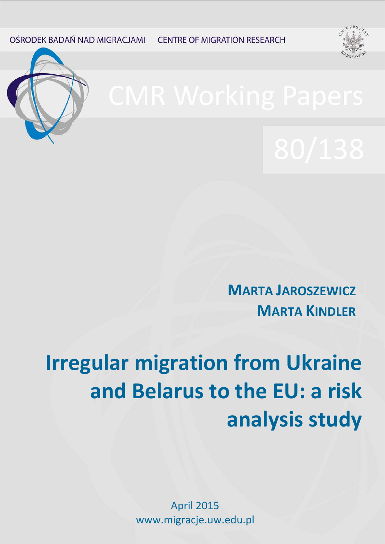OŚRODEK BADAŃ NAD MIGRACJAMI **CENTRE OF MIGRATION RESEARCH** 





**MARTA JAROSZEWICZ MARTA KINDLER**

# **Irregular migration from Ukraine and Belarus to the EU: a risk analysis study**

April 2015 www.migracje.uw.edu.pl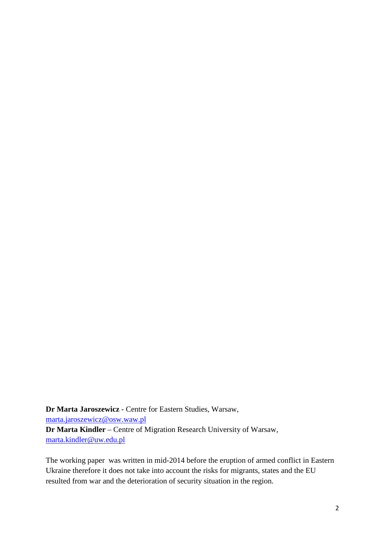**Dr Marta Jaroszewicz** - Centre for Eastern Studies, Warsaw, [marta.jaroszewicz@osw.waw.pl](mailto:marta.jaroszewicz@osw.waw.pl) **Dr Marta Kindler** – Centre of Migration Research University of Warsaw, [marta.kindler@uw.edu.pl](mailto:marta.kindler@uw.edu.pl)

The working paper was written in mid-2014 before the eruption of armed conflict in Eastern Ukraine therefore it does not take into account the risks for migrants, states and the EU resulted from war and the deterioration of security situation in the region.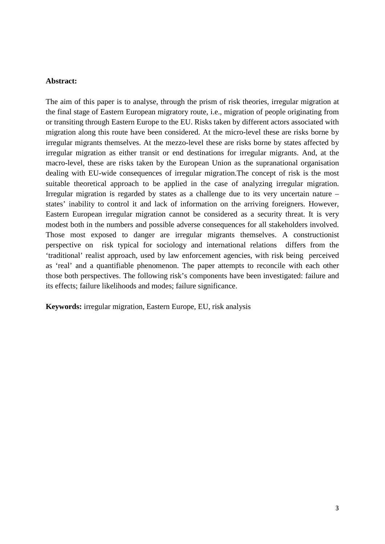# **Abstract:**

The aim of this paper is to analyse, through the prism of risk theories, irregular migration at the final stage of Eastern European migratory route, i.e., migration of people originating from or transiting through Eastern Europe to the EU. Risks taken by different actors associated with migration along this route have been considered. At the micro-level these are risks borne by irregular migrants themselves. At the mezzo-level these are risks borne by states affected by irregular migration as either transit or end destinations for irregular migrants. And, at the macro-level, these are risks taken by the European Union as the supranational organisation dealing with EU-wide consequences of irregular migration.The concept of risk is the most suitable theoretical approach to be applied in the case of analyzing irregular migration. Irregular migration is regarded by states as a challenge due to its very uncertain nature – states' inability to control it and lack of information on the arriving foreigners. However, Eastern European irregular migration cannot be considered as a security threat. It is very modest both in the numbers and possible adverse consequences for all stakeholders involved. Those most exposed to danger are irregular migrants themselves. A constructionist perspective on risk typical for sociology and international relations differs from the 'traditional' realist approach, used by law enforcement agencies, with risk being perceived as 'real' and a quantifiable phenomenon. The paper attempts to reconcile with each other those both perspectives. The following risk's components have been investigated: failure and its effects; failure likelihoods and modes; failure significance.

**Keywords:** irregular migration, Eastern Europe, EU, risk analysis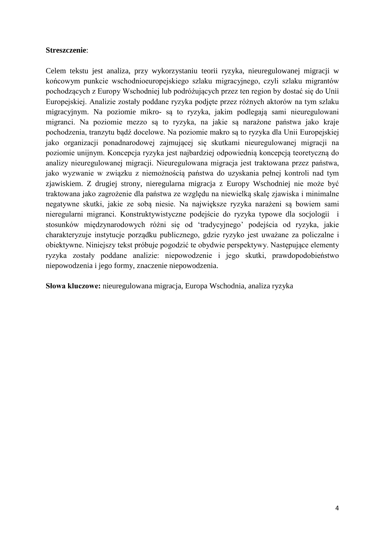# **Streszczenie**:

Celem tekstu jest analiza, przy wykorzystaniu teorii ryzyka, nieuregulowanej migracji w końcowym punkcie wschodnioeuropejskiego szlaku migracyjnego, czyli szlaku migrantów pochodzących z Europy Wschodniej lub podróżujących przez ten region by dostać się do Unii Europejskiej. Analizie zostały poddane ryzyka podjęte przez różnych aktorów na tym szlaku migracyjnym. Na poziomie mikro- są to ryzyka, jakim podlegają sami nieuregulowani migranci. Na poziomie mezzo są to ryzyka, na jakie są narażone państwa jako kraje pochodzenia, tranzytu bądź docelowe. Na poziomie makro są to ryzyka dla Unii Europejskiej jako organizacji ponadnarodowej zajmującej się skutkami nieuregulowanej migracji na poziomie unijnym. Koncepcja ryzyka jest najbardziej odpowiednią koncepcją teoretyczną do analizy nieuregulowanej migracji. Nieuregulowana migracja jest traktowana przez państwa, jako wyzwanie w związku z niemożnością państwa do uzyskania pełnej kontroli nad tym zjawiskiem. Z drugiej strony, nieregularna migracja z Europy Wschodniej nie może być traktowana jako zagrożenie dla państwa ze względu na niewielką skalę zjawiska i minimalne negatywne skutki, jakie ze sobą niesie. Na największe ryzyka narażeni są bowiem sami nieregularni migranci. Konstruktywistyczne podejście do ryzyka typowe dla socjologii i stosunków międzynarodowych różni się od 'tradycyjnego' podejścia od ryzyka, jakie charakteryzuje instytucje porządku publicznego, gdzie ryzyko jest uważane za policzalne i obiektywne. Niniejszy tekst próbuje pogodzić te obydwie perspektywy. Następujące elementy ryzyka zostały poddane analizie: niepowodzenie i jego skutki, prawdopodobieństwo niepowodzenia i jego formy, znaczenie niepowodzenia.

**Słowa kluczowe:** nieuregulowana migracja, Europa Wschodnia, analiza ryzyka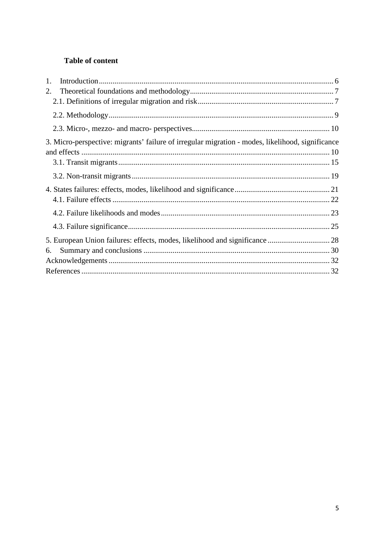# Table of content

| 1.                                                                                               |  |
|--------------------------------------------------------------------------------------------------|--|
| 2.                                                                                               |  |
|                                                                                                  |  |
|                                                                                                  |  |
|                                                                                                  |  |
| 3. Micro-perspective: migrants' failure of irregular migration - modes, likelihood, significance |  |
|                                                                                                  |  |
|                                                                                                  |  |
|                                                                                                  |  |
|                                                                                                  |  |
|                                                                                                  |  |
|                                                                                                  |  |
|                                                                                                  |  |
| 5. European Union failures: effects, modes, likelihood and significance  28                      |  |
| 6.                                                                                               |  |
|                                                                                                  |  |
|                                                                                                  |  |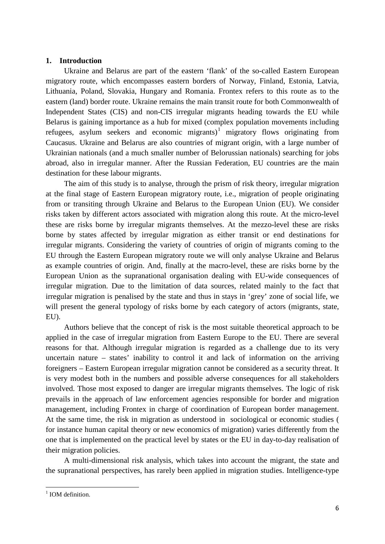# <span id="page-5-0"></span>**1. Introduction**

Ukraine and Belarus are part of the eastern 'flank' of the so-called Eastern European migratory route, which encompasses eastern borders of Norway, Finland, Estonia, Latvia, Lithuania, Poland, Slovakia, Hungary and Romania. Frontex refers to this route as to the eastern (land) border route. Ukraine remains the main transit route for both Commonwealth of Independent States (CIS) and non-CIS irregular migrants heading towards the EU while Belarus is gaining importance as a hub for mixed (complex population movements including refugees, asylum seekers and economic migrants)<sup>[1](#page-5-1)</sup> migratory flows originating from Caucasus. Ukraine and Belarus are also countries of migrant origin, with a large number of Ukrainian nationals (and a much smaller number of Belorussian nationals) searching for jobs abroad, also in irregular manner. After the Russian Federation, EU countries are the main destination for these labour migrants.

The aim of this study is to analyse, through the prism of risk theory, irregular migration at the final stage of Eastern European migratory route, i.e., migration of people originating from or transiting through Ukraine and Belarus to the European Union (EU). We consider risks taken by different actors associated with migration along this route. At the micro-level these are risks borne by irregular migrants themselves. At the mezzo-level these are risks borne by states affected by irregular migration as either transit or end destinations for irregular migrants. Considering the variety of countries of origin of migrants coming to the EU through the Eastern European migratory route we will only analyse Ukraine and Belarus as example countries of origin. And, finally at the macro-level, these are risks borne by the European Union as the supranational organisation dealing with EU-wide consequences of irregular migration. Due to the limitation of data sources, related mainly to the fact that irregular migration is penalised by the state and thus in stays in 'grey' zone of social life, we will present the general typology of risks borne by each category of actors (migrants, state, EU).

Authors believe that the concept of risk is the most suitable theoretical approach to be applied in the case of irregular migration from Eastern Europe to the EU. There are several reasons for that. Although irregular migration is regarded as a challenge due to its very uncertain nature – states' inability to control it and lack of information on the arriving foreigners – Eastern European irregular migration cannot be considered as a security threat. It is very modest both in the numbers and possible adverse consequences for all stakeholders involved. Those most exposed to danger are irregular migrants themselves. The logic of risk prevails in the approach of law enforcement agencies responsible for border and migration management, including Frontex in charge of coordination of European border management. At the same time, the risk in migration as understood in sociological or economic studies ( for instance human capital theory or new economics of migration) varies differently from the one that is implemented on the practical level by states or the EU in day-to-day realisation of their migration policies.

A multi-dimensional risk analysis, which takes into account the migrant, the state and the supranational perspectives, has rarely been applied in migration studies. Intelligence-type

<span id="page-5-1"></span><sup>&</sup>lt;sup>1</sup> IOM definition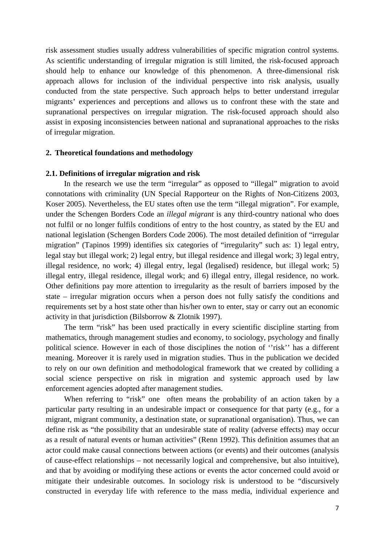risk assessment studies usually address vulnerabilities of specific migration control systems. As scientific understanding of irregular migration is still limited, the risk-focused approach should help to enhance our knowledge of this phenomenon. A three-dimensional risk approach allows for inclusion of the individual perspective into risk analysis, usually conducted from the state perspective. Such approach helps to better understand irregular migrants' experiences and perceptions and allows us to confront these with the state and supranational perspectives on irregular migration. The risk-focused approach should also assist in exposing inconsistencies between national and supranational approaches to the risks of irregular migration.

#### <span id="page-6-0"></span>**2. Theoretical foundations and methodology**

#### <span id="page-6-1"></span>**2.1. Definitions of irregular migration and risk**

In the research we use the term "irregular" as opposed to "illegal" migration to avoid connotations with criminality (UN Special Rapporteur on the Rights of Non-Citizens 2003, Koser 2005). Nevertheless, the EU states often use the term "illegal migration". For example, under the Schengen Borders Code an *illegal migrant* is any third-country national who does not fulfil or no longer fulfils conditions of entry to the host country, as stated by the EU and national legislation (Schengen Borders Code 2006). The most detailed definition of "irregular migration" (Tapinos 1999) identifies six categories of "irregularity" such as: 1) legal entry, legal stay but illegal work; 2) legal entry, but illegal residence and illegal work; 3) legal entry, illegal residence, no work; 4) illegal entry, legal (legalised) residence, but illegal work; 5) illegal entry, illegal residence, illegal work; and 6) illegal entry, illegal residence, no work. Other definitions pay more attention to irregularity as the result of barriers imposed by the state – irregular migration occurs when a person does not fully satisfy the conditions and requirements set by a host state other than his/her own to enter, stay or carry out an economic activity in that jurisdiction (Bilsborrow & Zlotnik 1997).

The term "risk" has been used practically in every scientific discipline starting from mathematics, through management studies and economy, to sociology, psychology and finally political science. However in each of those disciplines the notion of ''risk'' has a different meaning. Moreover it is rarely used in migration studies. Thus in the publication we decided to rely on our own definition and methodological framework that we created by colliding a social science perspective on risk in migration and systemic approach used by law enforcement agencies adopted after management studies.

When referring to "risk" one often means the probability of an action taken by a particular party resulting in an undesirable impact or consequence for that party (e.g., for a migrant, migrant community, a destination state, or supranational organisation). Thus, we can define risk as "the possibility that an undesirable state of reality (adverse effects) may occur as a result of natural events or human activities" (Renn 1992). This definition assumes that an actor could make causal connections between actions (or events) and their outcomes (analysis of cause-effect relationships – not necessarily logical and comprehensive, but also intuitive), and that by avoiding or modifying these actions or events the actor concerned could avoid or mitigate their undesirable outcomes. In sociology risk is understood to be "discursively constructed in everyday life with reference to the mass media, individual experience and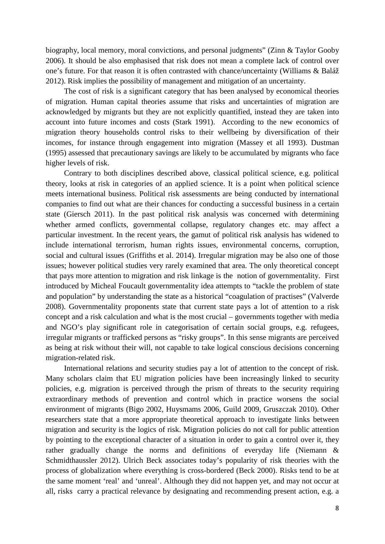biography, local memory, moral convictions, and personal judgments" (Zinn & Taylor Gooby 2006). It should be also emphasised that risk does not mean a complete lack of control over one's future. For that reason it is often contrasted with chance/uncertainty (Williams & Baláž 2012). Risk implies the possibility of management and mitigation of an uncertainty.

The cost of risk is a significant category that has been analysed by economical theories of migration. Human capital theories assume that risks and uncertainties of migration are acknowledged by migrants but they are not explicitly quantified, instead they are taken into account into future incomes and costs (Stark 1991). According to the new economics of migration theory households control risks to their wellbeing by diversification of their incomes, for instance through engagement into migration (Massey et all 1993). Dustman (1995) assessed that precautionary savings are likely to be accumulated by migrants who face higher levels of risk.

Contrary to both disciplines described above, classical political science, e.g. political theory, looks at risk in categories of an applied science. It is a point when political science meets international business. Political risk assessments are being conducted by international companies to find out what are their chances for conducting a successful business in a certain state (Giersch 2011). In the past political risk analysis was concerned with determining whether armed conflicts, governmental collapse, regulatory changes etc. may affect a particular investment. In the recent years, the gamut of political risk analysis has widened to include international terrorism, human rights issues, environmental concerns, corruption, social and cultural issues (Griffiths et al. 2014). Irregular migration may be also one of those issues; however political studies very rarely examined that area. The only theoretical concept that pays more attention to migration and risk linkage is the notion of governmentality. First introduced by Micheal Foucault governmentality idea attempts to "tackle the problem of state and population" by understanding the state as a historical "coagulation of practises" (Valverde 2008). Governmentality proponents state that current state pays a lot of attention to a risk concept and a risk calculation and what is the most crucial – governments together with media and NGO's play significant role in categorisation of certain social groups, e.g. refugees, irregular migrants or trafficked persons as "risky groups". In this sense migrants are perceived as being at risk without their will, not capable to take logical conscious decisions concerning migration-related risk.

International relations and security studies pay a lot of attention to the concept of risk. Many scholars claim that EU migration policies have been increasingly linked to security policies, e.g. migration is perceived through the prism of threats to the security requiring extraordinary methods of prevention and control which in practice worsens the social environment of migrants (Bigo 2002, Huysmams 2006, Guild 2009, Gruszczak 2010). Other researchers state that a more appropriate theoretical approach to investigate links between migration and security is the logics of risk. Migration policies do not call for public attention by pointing to the exceptional character of a situation in order to gain a control over it, they rather gradually change the norms and definitions of everyday life (Niemann & Schmidthaussler 2012). Ulrich Beck associates today's popularity of risk theories with the process of globalization where everything is cross-bordered (Beck 2000). Risks tend to be at the same moment 'real' and 'unreal'. Although they did not happen yet, and may not occur at all, risks carry a practical relevance by designating and recommending present action, e.g. a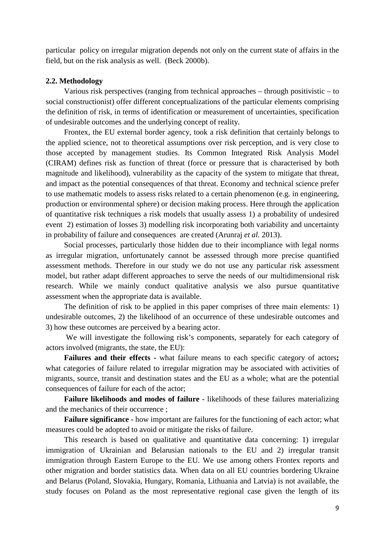particular policy on irregular migration depends not only on the current state of affairs in the field, but on the risk analysis as well. (Beck 2000b).

# <span id="page-8-0"></span>**2.2. Methodology**

Various risk perspectives (ranging from technical approaches – through positivistic – to social constructionist) offer different conceptualizations of the particular elements comprising the definition of risk, in terms of identification or measurement of uncertainties, specification of undesirable outcomes and the underlying concept of reality.

Frontex, the EU external border agency, took a risk definition that certainly belongs to the applied science, not to theoretical assumptions over risk perception, and is very close to those accepted by management studies. Its Common Integrated Risk Analysis Model (CIRAM) defines risk as function of threat (force or pressure that is characterised by both magnitude and likelihood), vulnerability as the capacity of the system to mitigate that threat, and impact as the potential consequences of that threat. Economy and technical science prefer to use mathematic models to assess risks related to a certain phenomenon (e.g. in engineering, production or environmental sphere) or decision making process. Here through the application of quantitative risk techniques a risk models that usually assess 1) a probability of undesired event 2) estimation of losses 3) modelling risk incorporating both variability and uncertainty in probability of failure and consequences are created (Arunraj *et al.* 2013).

Social processes, particularly those hidden due to their incompliance with legal norms as irregular migration, unfortunately cannot be assessed through more precise quantified assessment methods. Therefore in our study we do not use any particular risk assessment model, but rather adapt different approaches to serve the needs of our multidimensional risk research. While we mainly conduct qualitative analysis we also pursue quantitative assessment when the appropriate data is available.

The definition of risk to be applied in this paper comprises of three main elements: 1) undesirable outcomes, 2) the likelihood of an occurrence of these undesirable outcomes and 3) how these outcomes are perceived by a bearing actor.

We will investigate the following risk's components, separately for each category of actors involved (migrants, the state, the EU):

**Failures and their effects -** what failure means to each specific category of actors**;** what categories of failure related to irregular migration may be associated with activities of migrants, source, transit and destination states and the EU as a whole; what are the potential consequences of failure for each of the actor;

**Failure likelihoods and modes of failure** - likelihoods of these failures materializing and the mechanics of their occurrence ;

**Failure significance** - how important are failures for the functioning of each actor; what measures could be adopted to avoid or mitigate the risks of failure.

This research is based on qualitative and quantitative data concerning: 1) irregular immigration of Ukrainian and Belarusian nationals to the EU and 2) irregular transit immigration through Eastern Europe to the EU. We use among others Frontex reports and other migration and border statistics data. When data on all EU countries bordering Ukraine and Belarus (Poland, Slovakia, Hungary, Romania, Lithuania and Latvia) is not available, the study focuses on Poland as the most representative regional case given the length of its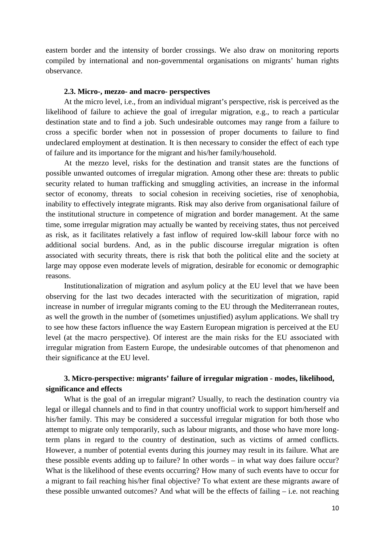eastern border and the intensity of border crossings. We also draw on monitoring reports compiled by international and non-governmental organisations on migrants' human rights observance.

#### **2.3. Micro-, mezzo- and macro- perspectives**

<span id="page-9-0"></span>At the micro level, i.e., from an individual migrant's perspective, risk is perceived as the likelihood of failure to achieve the goal of irregular migration, e.g., to reach a particular destination state and to find a job. Such undesirable outcomes may range from a failure to cross a specific border when not in possession of proper documents to failure to find undeclared employment at destination. It is then necessary to consider the effect of each type of failure and its importance for the migrant and his/her family/household.

At the mezzo level, risks for the destination and transit states are the functions of possible unwanted outcomes of irregular migration. Among other these are: threats to public security related to human trafficking and smuggling activities, an increase in the informal sector of economy, threats to social cohesion in receiving societies, rise of xenophobia, inability to effectively integrate migrants. Risk may also derive from organisational failure of the institutional structure in competence of migration and border management. At the same time, some irregular migration may actually be wanted by receiving states, thus not perceived as risk, as it facilitates relatively a fast inflow of required low-skill labour force with no additional social burdens. And, as in the public discourse irregular migration is often associated with security threats, there is risk that both the political elite and the society at large may oppose even moderate levels of migration, desirable for economic or demographic reasons.

Institutionalization of migration and asylum policy at the EU level that we have been observing for the last two decades interacted with the securitization of migration, rapid increase in number of irregular migrants coming to the EU through the Mediterranean routes, as well the growth in the number of (sometimes unjustified) asylum applications. We shall try to see how these factors influence the way Eastern European migration is perceived at the EU level (at the macro perspective). Of interest are the main risks for the EU associated with irregular migration from Eastern Europe, the undesirable outcomes of that phenomenon and their significance at the EU level.

# <span id="page-9-1"></span>**3. Micro-perspective: migrants' failure of irregular migration - modes, likelihood, significance and effects**

What is the goal of an irregular migrant? Usually, to reach the destination country via legal or illegal channels and to find in that country unofficial work to support him/herself and his/her family. This may be considered a successful irregular migration for both those who attempt to migrate only temporarily, such as labour migrants, and those who have more longterm plans in regard to the country of destination, such as victims of armed conflicts. However, a number of potential events during this journey may result in its failure. What are these possible events adding up to failure? In other words – in what way does failure occur? What is the likelihood of these events occurring? How many of such events have to occur for a migrant to fail reaching his/her final objective? To what extent are these migrants aware of these possible unwanted outcomes? And what will be the effects of failing  $-$  i.e. not reaching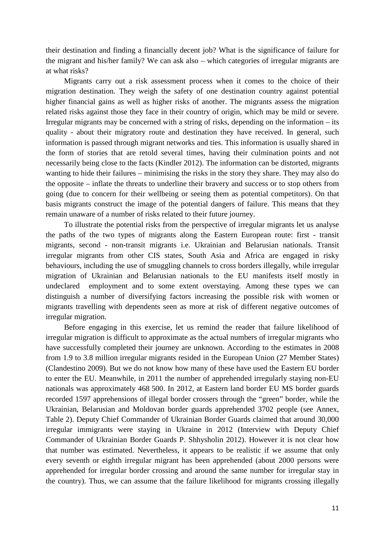their destination and finding a financially decent job? What is the significance of failure for the migrant and his/her family? We can ask also – which categories of irregular migrants are at what risks?

Migrants carry out a risk assessment process when it comes to the choice of their migration destination. They weigh the safety of one destination country against potential higher financial gains as well as higher risks of another. The migrants assess the migration related risks against those they face in their country of origin, which may be mild or severe. Irregular migrants may be concerned with a string of risks, depending on the information – its quality - about their migratory route and destination they have received. In general, such information is passed through migrant networks and ties. This information is usually shared in the form of stories that are retold several times, having their culmination points and not necessarily being close to the facts (Kindler 2012). The information can be distorted, migrants wanting to hide their failures – minimising the risks in the story they share. They may also do the opposite – inflate the threats to underline their bravery and success or to stop others from going (due to concern for their wellbeing or seeing them as potential competitors). On that basis migrants construct the image of the potential dangers of failure. This means that they remain unaware of a number of risks related to their future journey.

To illustrate the potential risks from the perspective of irregular migrants let us analyse the paths of the two types of migrants along the Eastern European route: first - transit migrants, second - non-transit migrants i.e. Ukrainian and Belarusian nationals. Transit irregular migrants from other CIS states, South Asia and Africa are engaged in risky behaviours, including the use of smuggling channels to cross borders illegally, while irregular migration of Ukrainian and Belarusian nationals to the EU manifests itself mostly in undeclared employment and to some extent overstaying. Among these types we can distinguish a number of diversifying factors increasing the possible risk with women or migrants travelling with dependents seen as more at risk of different negative outcomes of irregular migration.

Before engaging in this exercise, let us remind the reader that failure likelihood of irregular migration is difficult to approximate as the actual numbers of irregular migrants who have successfully completed their journey are unknown. According to the estimates in 2008 from 1.9 to 3.8 million irregular migrants resided in the European Union (27 Member States) (Clandestino 2009). But we do not know how many of these have used the Eastern EU border to enter the EU. Meanwhile, in 2011 the number of apprehended irregularly staying non-EU nationals was approximately 468 500. In 2012, at Eastern land border EU MS border guards recorded 1597 apprehensions of illegal border crossers through the "green" border, while the Ukrainian, Belarusian and Moldovan border guards apprehended 3702 people (see Annex, Table 2). Deputy Chief Commander of Ukrainian Border Guards claimed that around 30,000 irregular immigrants were staying in Ukraine in 2012 (Interview with Deputy Chief Commander of Ukrainian Border Guards P. Shhysholin 2012). However it is not clear how that number was estimated. Nevertheless, it appears to be realistic if we assume that only every seventh or eighth irregular migrant has been apprehended (about 2000 persons were apprehended for irregular border crossing and around the same number for irregular stay in the country). Thus, we can assume that the failure likelihood for migrants crossing illegally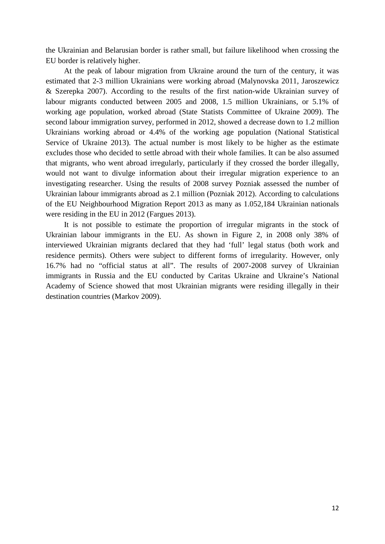the Ukrainian and Belarusian border is rather small, but failure likelihood when crossing the EU border is relatively higher.

At the peak of labour migration from Ukraine around the turn of the century, it was estimated that 2-3 million Ukrainians were working abroad (Malynovska 2011, Jaroszewicz & Szerepka 2007). According to the results of the first nation-wide Ukrainian survey of labour migrants conducted between 2005 and 2008, 1.5 million Ukrainians, or 5.1% of working age population, worked abroad (State Statists Committee of Ukraine 2009). The second labour immigration survey, performed in 2012, showed a decrease down to 1.2 million Ukrainians working abroad or 4.4% of the working age population (National Statistical Service of Ukraine 2013). The actual number is most likely to be higher as the estimate excludes those who decided to settle abroad with their whole families. It can be also assumed that migrants, who went abroad irregularly, particularly if they crossed the border illegally, would not want to divulge information about their irregular migration experience to an investigating researcher. Using the results of 2008 survey Pozniak assessed the number of Ukrainian labour immigrants abroad as 2.1 million (Pozniak 2012). According to calculations of the EU Neighbourhood Migration Report 2013 as many as 1.052,184 Ukrainian nationals were residing in the EU in 2012 (Fargues 2013).

It is not possible to estimate the proportion of irregular migrants in the stock of Ukrainian labour immigrants in the EU. As shown in Figure 2, in 2008 only 38% of interviewed Ukrainian migrants declared that they had 'full' legal status (both work and residence permits). Others were subject to different forms of irregularity. However, only 16.7% had no "official status at all". The results of 2007-2008 survey of Ukrainian immigrants in Russia and the EU conducted by Caritas Ukraine and Ukraine's National Academy of Science showed that most Ukrainian migrants were residing illegally in their destination countries (Markov 2009).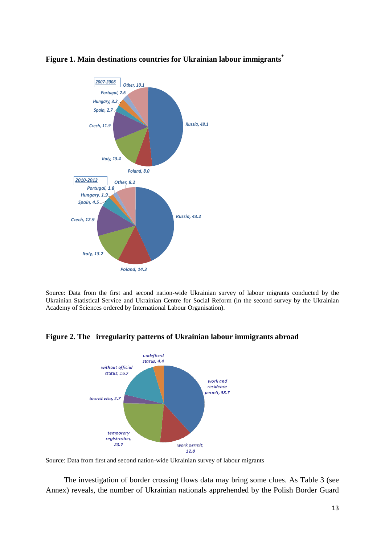

# **Figure 1. Main destinations countries for Ukrainian labour immigrants\***

Source: Data from the first and second nation-wide Ukrainian survey of labour migrants conducted by the Ukrainian Statistical Service and Ukrainian Centre for Social Reform (in the second survey by the Ukrainian Academy of Sciences ordered by International Labour Organisation).



# **Figure 2. The irregularity patterns of Ukrainian labour immigrants abroad**

The investigation of border crossing flows data may bring some clues. As Table 3 (see Annex) reveals, the number of Ukrainian nationals apprehended by the Polish Border Guard

Source: Data from first and second nation-wide Ukrainian survey of labour migrants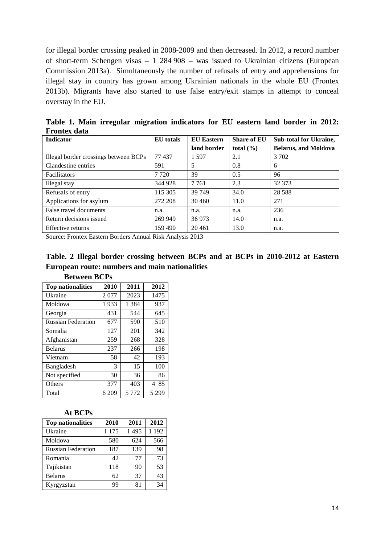for illegal border crossing peaked in 2008-2009 and then decreased. In 2012, a record number of short-term Schengen visas – 1 284 908 – was issued to Ukrainian citizens (European Commission 2013a). Simultaneously the number of refusals of entry and apprehensions for illegal stay in country has grown among Ukrainian nationals in the whole EU (Frontex 2013b). Migrants have also started to use false entry/exit stamps in attempt to conceal overstay in the EU.

| <b>Indicator</b>                      | <b>EU</b> totals | <b>EU</b> Eastern | <b>Share of EU</b> | <b>Sub-total for Ukraine,</b> |
|---------------------------------------|------------------|-------------------|--------------------|-------------------------------|
|                                       |                  | land border       | total $(\% )$      | <b>Belarus, and Moldova</b>   |
| Illegal border crossings between BCPs | 77437            | 1.597             | 2.1                | 3 702                         |
| Clandestine entries                   | 591              | 5                 | 0.8                | 6                             |
| <b>Facilitators</b>                   | 7 7 2 0          | 39                | 0.5                | 96                            |
| Illegal stay                          | 344 928          | 7 7 6 1           | 2.3                | 32 373                        |
| Refusals of entry                     | 115 305          | 39 749            | 34.0               | 28 5 88                       |
| Applications for asylum               | 272 208          | 30 460            | 11.0               | 271                           |
| False travel documents                | n.a.             | n.a.              | n.a.               | 236                           |
| Return decisions issued               | 269 949          | 36 973            | 14.0               | n.a.                          |
| Effective returns                     | 159 490          | 20461             | 13.0               | n.a.                          |

**Table 1. Main irregular migration indicators for EU eastern land border in 2012: Frontex data**

Source: Frontex Eastern Borders Annual Risk Analysis 2013

|                                                |  |  |  | Table. 2 Illegal border crossing between BCPs and at BCPs in 2010-2012 at Eastern |  |
|------------------------------------------------|--|--|--|-----------------------------------------------------------------------------------|--|
| European route: numbers and main nationalities |  |  |  |                                                                                   |  |

| <b>Top nationalities</b>  | 2010  | 2011    | 2012    |
|---------------------------|-------|---------|---------|
| Ukraine                   | 2077  | 2023    | 1475    |
| Moldova                   | 1933  | 1 3 8 4 | 937     |
| Georgia                   | 431   | 544     | 645     |
| <b>Russian Federation</b> | 677   | 590     | 510     |
| Somalia                   | 127   | 201     | 342     |
| Afghanistan               | 259   | 268     | 328     |
| <b>Belarus</b>            | 237   | 266     | 198     |
| Vietnam                   | 58    | 42      | 193     |
| Bangladesh                | 3     | 15      | 100     |
| Not specified             | 30    | 36      | 86      |
| Others                    | 377   | 403     | 4 85    |
| Total                     | 6 209 | 5 7 7 2 | 5 2 9 9 |

# **Between BCPs**

# **At BCPs**

| <b>Top nationalities</b>  | 2010    | 2011    | 2012  |
|---------------------------|---------|---------|-------|
| Ukraine                   | 1 1 7 5 | 1 4 9 5 | 1 192 |
| Moldova                   | 580     | 624     | 566   |
| <b>Russian Federation</b> | 187     | 139     | 98    |
| Romania                   | 42      | 77      | 73    |
| Tajikistan                | 118     | 90      | 53    |
| <b>Belarus</b>            | 62      | 37      | 43    |
| Kyrgyzstan                | 99      | 81      | 34    |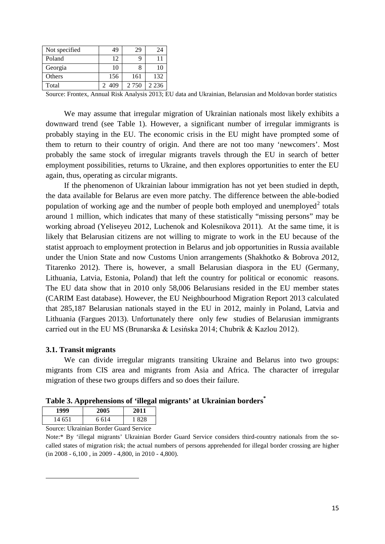| Not specified | 49    | 29      | 24      |
|---------------|-------|---------|---------|
| Poland        | 12    |         | 11      |
| Georgia       | 10    |         | 10      |
| Others        | 156   | 161     | 132     |
| Total         | 2.409 | 2 7 5 0 | 2 2 3 6 |

Source: Frontex, Annual Risk Analysis 2013; EU data and Ukrainian, Belarusian and Moldovan border statistics

We may assume that irregular migration of Ukrainian nationals most likely exhibits a downward trend (see Table 1). However, a significant number of irregular immigrants is probably staying in the EU. The economic crisis in the EU might have prompted some of them to return to their country of origin. And there are not too many 'newcomers'. Most probably the same stock of irregular migrants travels through the EU in search of better employment possibilities, returns to Ukraine, and then explores opportunities to enter the EU again, thus, operating as circular migrants.

If the phenomenon of Ukrainian labour immigration has not yet been studied in depth, the data available for Belarus are even more patchy. The difference between the able-bodied population of working age and the number of people both employed and unemployed<sup>[2](#page-14-1)</sup> totals around 1 million, which indicates that many of these statistically "missing persons" may be working abroad (Yeliseyeu 2012, Luchenok and Kolesnikova 2011). At the same time, it is likely that Belarusian citizens are not willing to migrate to work in the EU because of the statist approach to employment protection in Belarus and job opportunities in Russia available under the Union State and now Customs Union arrangements (Shakhotko & Bobrova *2*012, Titarenko 2012). There is, however, a small Belarusian diaspora in the EU (Germany, Lithuania, Latvia, Estonia, Poland) that left the country for political or economic reasons. The EU data show that in 2010 only 58,006 Belarusians resided in the EU member states (CARIM East database). However, the EU Neighbourhood Migration Report 2013 calculated that 285,187 Belarusian nationals stayed in the EU in 2012, mainly in Poland, Latvia and Lithuania (Fargues 2013). Unfortunately there only few studies of Belarusian immigrants carried out in the EU MS (Brunarska & Lesińska 2014; Chubrik & Kazlou 2012).

# <span id="page-14-0"></span>**3.1. Transit migrants**

<span id="page-14-1"></span> $\overline{a}$ 

We can divide irregular migrants transiting Ukraine and Belarus into two groups: migrants from CIS area and migrants from Asia and Africa. The character of irregular migration of these two groups differs and so does their failure.

**Table 3. Apprehensions of 'illegal migrants' at Ukrainian borders\***

| --     |             |  |   |         |   |        |      |  |
|--------|-------------|--|---|---------|---|--------|------|--|
|        | 1999        |  |   | 2005    |   | 2011   |      |  |
| 14 651 |             |  |   | 6 6 1 4 |   |        | -828 |  |
| $\sim$ | <b>Y 71</b> |  | ∽ |         | ⌒ | $\sim$ |      |  |

Source: Ukrainian Border Guard Service

Note:\* By 'illegal migrants' Ukrainian Border Guard Service considers third-country nationals from the socalled states of migration risk; the actual numbers of persons apprehended for illegal border crossing are higher (in 2008 - 6,100 , in 2009 - 4,800, in 2010 - 4,800).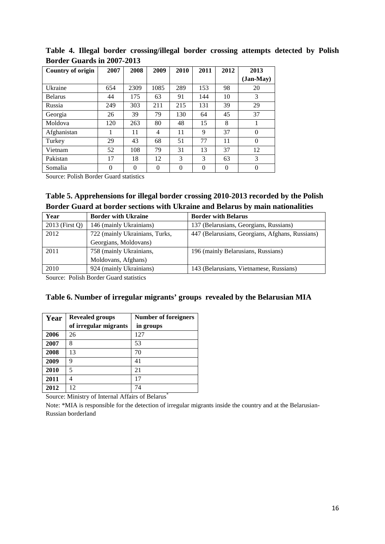| <b>Country of origin</b> | 2007     | 2008     | 2009     | 2010     | 2011     | 2012     | 2013      |
|--------------------------|----------|----------|----------|----------|----------|----------|-----------|
|                          |          |          |          |          |          |          | (Jan-May) |
| Ukraine                  | 654      | 2309     | 1085     | 289      | 153      | 98       | 20        |
| <b>Belarus</b>           | 44       | 175      | 63       | 91       | 144      | 10       | 3         |
| Russia                   | 249      | 303      | 211      | 215      | 131      | 39       | 29        |
| Georgia                  | 26       | 39       | 79       | 130      | 64       | 45       | 37        |
| Moldova                  | 120      | 263      | 80       | 48       | 15       | 8        |           |
| Afghanistan              |          | 11       | 4        | 11       | 9        | 37       | $\Omega$  |
| Turkey                   | 29       | 43       | 68       | 51       | 77       | 11       | $\Omega$  |
| Vietnam                  | 52       | 108      | 79       | 31       | 13       | 37       | 12        |
| Pakistan                 | 17       | 18       | 12       | 3        | 3        | 63       | 3         |
| Somalia                  | $\Omega$ | $\Omega$ | $\Omega$ | $\Omega$ | $\theta$ | $\Omega$ | $\theta$  |

**Table 4. Illegal border crossing/illegal border crossing attempts detected by Polish Border Guards in 2007-2013**

Source: Polish Border Guard statistics

# **Table 5. Apprehensions for illegal border crossing 2010-2013 recorded by the Polish Border Guard at border sections with Ukraine and Belarus by main nationalities**

| Year           | <b>Border with Ukraine</b>     | <b>Border with Belarus</b>                      |
|----------------|--------------------------------|-------------------------------------------------|
| 2013 (First Q) | 146 (mainly Ukrainians)        | 137 (Belarusians, Georgians, Russians)          |
| 2012           | 722 (mainly Ukrainians, Turks, | 447 (Belarusians, Georgians, Afghans, Russians) |
|                | Georgians, Moldovans)          |                                                 |
| 2011           | 758 (mainly Ukrainians,        | 196 (mainly Belarusians, Russians)              |
|                | Moldovans, Afghans)            |                                                 |
| 2010           | 924 (mainly Ukrainians)        | 143 (Belarusians, Vietnamese, Russians)         |

Source: Polish Border Guard statistics

# **Table 6. Number of irregular migrants' groups revealed by the Belarusian MIA**

| Year | <b>Revealed groups</b> | <b>Number of foreigners</b> |
|------|------------------------|-----------------------------|
|      | of irregular migrants  | in groups                   |
| 2006 | 26                     | 127                         |
| 2007 | 8                      | 53                          |
| 2008 | 13                     | 70                          |
| 2009 | 9                      | 41                          |
| 2010 | 5                      | 21                          |
| 2011 | 4                      | 17                          |
| 2012 | 12                     | 74                          |

Source: Ministry of Internal Affairs of Belarus<sup>\*</sup>

Note: \*MIA is responsible for the detection of irregular migrants inside the country and at the Belarusian-Russian borderland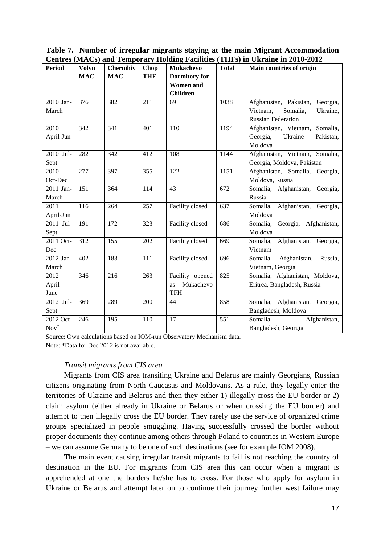|               |              |            |            |                      |              | $\alpha$ $\alpha$ $\beta$ $\alpha$ $\alpha$ $\beta$ $\alpha$ $\alpha$ $\beta$ $\alpha$ $\alpha$ $\alpha$ $\beta$ $\alpha$ $\alpha$ $\alpha$ $\beta$ $\alpha$ $\beta$ $\alpha$ $\alpha$ $\alpha$ $\beta$ $\alpha$ $\beta$ $\alpha$ $\beta$ $\beta$ $\alpha$ $\beta$ $\beta$ $\alpha$ $\beta$ $\beta$ $\alpha$ $\beta$ $\beta$ $\beta$ $\alpha$ $\beta$ $\beta$ $\beta$ $\beta$ $\beta$ |
|---------------|--------------|------------|------------|----------------------|--------------|---------------------------------------------------------------------------------------------------------------------------------------------------------------------------------------------------------------------------------------------------------------------------------------------------------------------------------------------------------------------------------------|
| <b>Period</b> | <b>Volyn</b> | Chernihiv  | Chop       | <b>Mukachevo</b>     | <b>Total</b> | Main countries of origin                                                                                                                                                                                                                                                                                                                                                              |
|               | <b>MAC</b>   | <b>MAC</b> | <b>THF</b> | <b>Dormitory</b> for |              |                                                                                                                                                                                                                                                                                                                                                                                       |
|               |              |            |            | <b>Women</b> and     |              |                                                                                                                                                                                                                                                                                                                                                                                       |
|               |              |            |            | <b>Children</b>      |              |                                                                                                                                                                                                                                                                                                                                                                                       |
| 2010 Jan-     | 376          | 382        | 211        | 69                   | 1038         | Afghanistan, Pakistan, Georgia,                                                                                                                                                                                                                                                                                                                                                       |
| March         |              |            |            |                      |              | Somalia,<br>Vietnam,<br>Ukraine,                                                                                                                                                                                                                                                                                                                                                      |
|               |              |            |            |                      |              | <b>Russian Federation</b>                                                                                                                                                                                                                                                                                                                                                             |
| 2010          | 342          | 341        | 401        | 110                  | 1194         | Afghanistan, Vietnam, Somalia,                                                                                                                                                                                                                                                                                                                                                        |
| April-Jun     |              |            |            |                      |              | Georgia,<br>Ukraine<br>Pakistan,                                                                                                                                                                                                                                                                                                                                                      |
|               |              |            |            |                      |              | Moldova                                                                                                                                                                                                                                                                                                                                                                               |
| $2010$ Jul-   | 282          | 342        | 412        | 108                  | 1144         | Afghanistan, Vietnam, Somalia,                                                                                                                                                                                                                                                                                                                                                        |
| Sept          |              |            |            |                      |              | Georgia, Moldova, Pakistan                                                                                                                                                                                                                                                                                                                                                            |
| 2010          | 277          | 397        | 355        | 122                  | 1151         | Afghanistan, Somalia, Georgia,                                                                                                                                                                                                                                                                                                                                                        |
| Oct-Dec       |              |            |            |                      |              | Moldova, Russia                                                                                                                                                                                                                                                                                                                                                                       |
| 2011 Jan-     | 151          | 364        | 114        | 43                   | 672          | Somalia, Afghanistan, Georgia,                                                                                                                                                                                                                                                                                                                                                        |
| March         |              |            |            |                      |              | Russia                                                                                                                                                                                                                                                                                                                                                                                |
| 2011          | 116          | 264        | 257        | Facility closed      | 637          | Afghanistan, Georgia,<br>Somalia,                                                                                                                                                                                                                                                                                                                                                     |
| April-Jun     |              |            |            |                      |              | Moldova                                                                                                                                                                                                                                                                                                                                                                               |
| 2011 Jul-     | 191          | 172        | 323        | Facility closed      | 686          | Georgia, Afghanistan,<br>Somalia,                                                                                                                                                                                                                                                                                                                                                     |
| Sept          |              |            |            |                      |              | Moldova                                                                                                                                                                                                                                                                                                                                                                               |
| 2011 Oct-     | 312          | 155        | 202        | Facility closed      | 669          | Somalia, Afghanistan, Georgia,                                                                                                                                                                                                                                                                                                                                                        |
| Dec           |              |            |            |                      |              | Vietnam                                                                                                                                                                                                                                                                                                                                                                               |
| 2012 Jan-     | 402          | 183        | 111        | Facility closed      | 696          | Somalia,<br>Afghanistan, Russia,                                                                                                                                                                                                                                                                                                                                                      |
| March         |              |            |            |                      |              | Vietnam, Georgia                                                                                                                                                                                                                                                                                                                                                                      |
| 2012          | 346          | 216        | 263        | Facility opened      | 825          | Somalia, Afghanistan, Moldova,                                                                                                                                                                                                                                                                                                                                                        |
| April-        |              |            |            | Mukachevo<br>as      |              | Eritrea, Bangladesh, Russia                                                                                                                                                                                                                                                                                                                                                           |
| June          |              |            |            | <b>TFH</b>           |              |                                                                                                                                                                                                                                                                                                                                                                                       |
| 2012 Jul-     | 369          | 289        | 200        | 44                   | 858          | Somalia, Afghanistan, Georgia,                                                                                                                                                                                                                                                                                                                                                        |
| Sept          |              |            |            |                      |              | Bangladesh, Moldova                                                                                                                                                                                                                                                                                                                                                                   |
| 2012 Oct-     | 246          | 195        | 110        | 17                   | 551          | Somalia,<br>Afghanistan,                                                                                                                                                                                                                                                                                                                                                              |
| $Nov*$        |              |            |            |                      |              | Bangladesh, Georgia                                                                                                                                                                                                                                                                                                                                                                   |

**Table 7. Number of irregular migrants staying at the main Migrant Accommodation Centres (MACs) and Temporary Holding Facilities (THFs) in Ukraine in 2010-2012**

Source: Own calculations based on IOM-run Observatory Mechanism data. Note: \*Data for Dec 2012 is not available.

# *Transit migrants from CIS area*

Migrants from CIS area transiting Ukraine and Belarus are mainly Georgians, Russian citizens originating from North Caucasus and Moldovans. As a rule, they legally enter the territories of Ukraine and Belarus and then they either 1) illegally cross the EU border or 2) claim asylum (either already in Ukraine or Belarus or when crossing the EU border) and attempt to then illegally cross the EU border. They rarely use the service of organized crime groups specialized in people smuggling. Having successfully crossed the border without proper documents they continue among others through Poland to countries in Western Europe – we can assume Germany to be one of such destinations (see for example IOM 2008).

The main event causing irregular transit migrants to fail is not reaching the country of destination in the EU. For migrants from CIS area this can occur when a migrant is apprehended at one the borders he/she has to cross. For those who apply for asylum in Ukraine or Belarus and attempt later on to continue their journey further west failure may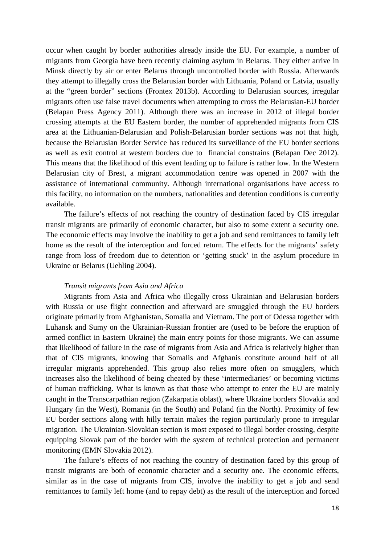occur when caught by border authorities already inside the EU. For example, a number of migrants from Georgia have been recently claiming asylum in Belarus. They either arrive in Minsk directly by air or enter Belarus through uncontrolled border with Russia. Afterwards they attempt to illegally cross the Belarusian border with Lithuania, Poland or Latvia, usually at the "green border" sections (Frontex 2013b). According to Belarusian sources, irregular migrants often use false travel documents when attempting to cross the Belarusian-EU border (Belapan Press Agency 2011). Although there was an increase in 2012 of illegal border crossing attempts at the EU Eastern border, the number of apprehended migrants from CIS area at the Lithuanian-Belarusian and Polish-Belarusian border sections was not that high, because the Belarusian Border Service has reduced its surveillance of the EU border sections as well as exit control at western borders due to financial constrains (Belapan Dec 2012). This means that the likelihood of this event leading up to failure is rather low. In the Western Belarusian city of Brest, a migrant accommodation centre was opened in 2007 with the assistance of international community. Although international organisations have access to this facility, no information on the numbers, nationalities and detention conditions is currently available.

The failure's effects of not reaching the country of destination faced by CIS irregular transit migrants are primarily of economic character, but also to some extent a security one. The economic effects may involve the inability to get a job and send remittances to family left home as the result of the interception and forced return. The effects for the migrants' safety range from loss of freedom due to detention or 'getting stuck' in the asylum procedure in Ukraine or Belarus (Uehling 2004).

#### *Transit migrants from Asia and Africa*

Migrants from Asia and Africa who illegally cross Ukrainian and Belarusian borders with Russia or use flight connection and afterward are smuggled through the EU borders originate primarily from Afghanistan, Somalia and Vietnam. The port of Odessa together with Luhansk and Sumy on the Ukrainian-Russian frontier are (used to be before the eruption of armed conflict in Eastern Ukraine) the main entry points for those migrants. We can assume that likelihood of failure in the case of migrants from Asia and Africa is relatively higher than that of CIS migrants, knowing that Somalis and Afghanis constitute around half of all irregular migrants apprehended. This group also relies more often on smugglers, which increases also the likelihood of being cheated by these 'intermediaries' or becoming victims of human trafficking. What is known as that those who attempt to enter the EU are mainly caught in the Transcarpathian region (Zakarpatia oblast), where Ukraine borders Slovakia and Hungary (in the West), Romania (in the South) and Poland (in the North). Proximity of few EU border sections along with hilly terrain makes the region particularly prone to irregular migration. The Ukrainian-Slovakian section is most exposed to illegal border crossing, despite equipping Slovak part of the border with the system of technical protection and permanent monitoring (EMN Slovakia 2012).

The failure's effects of not reaching the country of destination faced by this group of transit migrants are both of economic character and a security one. The economic effects, similar as in the case of migrants from CIS, involve the inability to get a job and send remittances to family left home (and to repay debt) as the result of the interception and forced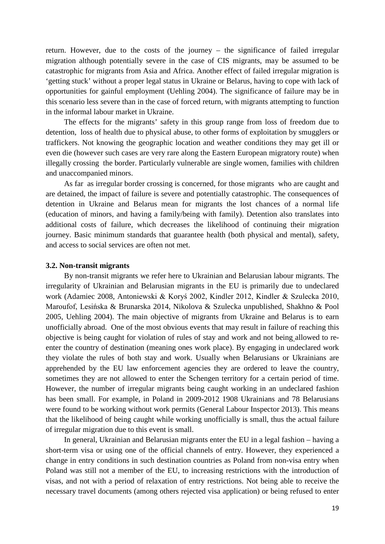return. However, due to the costs of the journey – the significance of failed irregular migration although potentially severe in the case of CIS migrants, may be assumed to be catastrophic for migrants from Asia and Africa. Another effect of failed irregular migration is 'getting stuck' without a proper legal status in Ukraine or Belarus, having to cope with lack of opportunities for gainful employment (Uehling 2004). The significance of failure may be in this scenario less severe than in the case of forced return, with migrants attempting to function in the informal labour market in Ukraine.

The effects for the migrants' safety in this group range from loss of freedom due to detention, loss of health due to physical abuse, to other forms of exploitation by smugglers or traffickers. Not knowing the geographic location and weather conditions they may get ill or even die (however such cases are very rare along the Eastern European migratory route) when illegally crossing the border. Particularly vulnerable are single women, families with children and unaccompanied minors.

As far as irregular border crossing is concerned, for those migrants who are caught and are detained, the impact of failure is severe and potentially catastrophic. The consequences of detention in Ukraine and Belarus mean for migrants the lost chances of a normal life (education of minors, and having a family/being with family). Detention also translates into additional costs of failure, which decreases the likelihood of continuing their migration journey. Basic minimum standards that guarantee health (both physical and mental), safety, and access to social services are often not met.

#### <span id="page-18-0"></span>**3.2. Non-transit migrants**

By non-transit migrants we refer here to Ukrainian and Belarusian labour migrants. The irregularity of Ukrainian and Belarusian migrants in the EU is primarily due to undeclared work (Adamiec 2008, Antoniewski & Koryś 2002, Kindler 2012, Kindler & Szulecka 2010, Maroufof, Lesińska & Brunarska 2014, Nikolova & Szulecka unpublished, Shakhno & Pool 2005, Uehling 2004). The main objective of migrants from Ukraine and Belarus is to earn unofficially abroad. One of the most obvious events that may result in failure of reaching this objective is being caught for violation of rules of stay and work and not being allowed to reenter the country of destination (meaning ones work place). By engaging in undeclared work they violate the rules of both stay and work. Usually when Belarusians or Ukrainians are apprehended by the EU law enforcement agencies they are ordered to leave the country, sometimes they are not allowed to enter the Schengen territory for a certain period of time. However, the number of irregular migrants being caught working in an undeclared fashion has been small. For example, in Poland in 2009-2012 1908 Ukrainians and 78 Belarusians were found to be working without work permits (General Labour Inspector 2013). This means that the likelihood of being caught while working unofficially is small, thus the actual failure of irregular migration due to this event is small.

In general, Ukrainian and Belarusian migrants enter the EU in a legal fashion – having a short-term visa or using one of the official channels of entry. However, they experienced a change in entry conditions in such destination countries as Poland from non-visa entry when Poland was still not a member of the EU, to increasing restrictions with the introduction of visas, and not with a period of relaxation of entry restrictions. Not being able to receive the necessary travel documents (among others rejected visa application) or being refused to enter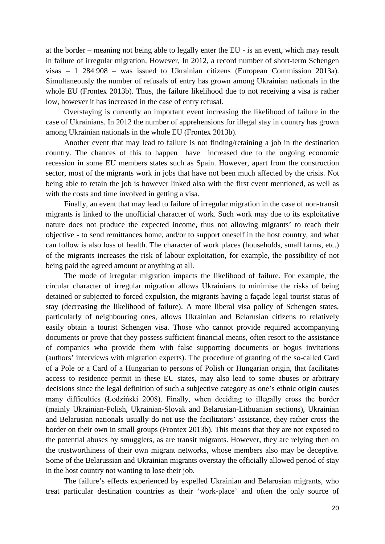at the border – meaning not being able to legally enter the EU - is an event, which may result in failure of irregular migration. However, In 2012, a record number of short-term Schengen visas – 1 284 908 – was issued to Ukrainian citizens (European Commission 2013a). Simultaneously the number of refusals of entry has grown among Ukrainian nationals in the whole EU (Frontex 2013b). Thus, the failure likelihood due to not receiving a visa is rather low, however it has increased in the case of entry refusal.

Overstaying is currently an important event increasing the likelihood of failure in the case of Ukrainians. In 2012 the number of apprehensions for illegal stay in country has grown among Ukrainian nationals in the whole EU (Frontex 2013b).

Another event that may lead to failure is not finding/retaining a job in the destination country. The chances of this to happen have increased due to the ongoing economic recession in some EU members states such as Spain. However, apart from the construction sector, most of the migrants work in jobs that have not been much affected by the crisis. Not being able to retain the job is however linked also with the first event mentioned, as well as with the costs and time involved in getting a visa.

Finally, an event that may lead to failure of irregular migration in the case of non-transit migrants is linked to the unofficial character of work. Such work may due to its exploitative nature does not produce the expected income, thus not allowing migrants' to reach their objective - to send remittances home, and/or to support oneself in the host country, and what can follow is also loss of health. The character of work places (households, small farms, etc.) of the migrants increases the risk of labour exploitation, for example, the possibility of not being paid the agreed amount or anything at all.

The mode of irregular migration impacts the likelihood of failure. For example, the circular character of irregular migration allows Ukrainians to minimise the risks of being detained or subjected to forced expulsion, the migrants having a façade legal tourist status of stay (decreasing the likelihood of failure). A more liberal visa policy of Schengen states, particularly of neighbouring ones, allows Ukrainian and Belarusian citizens to relatively easily obtain a tourist Schengen visa. Those who cannot provide required accompanying documents or prove that they possess sufficient financial means, often resort to the assistance of companies who provide them with false supporting documents or bogus invitations (authors' interviews with migration experts). The procedure of granting of the so-called Card of a Pole or a Card of a Hungarian to persons of Polish or Hungarian origin, that facilitates access to residence permit in these EU states, may also lead to some abuses or arbitrary decisions since the legal definition of such a subjective category as one's ethnic origin causes many difficulties (Łodziński 2008). Finally, when deciding to illegally cross the border (mainly Ukrainian-Polish, Ukrainian-Slovak and Belarusian-Lithuanian sections), Ukrainian and Belarusian nationals usually do not use the facilitators' assistance, they rather cross the border on their own in small groups (Frontex 2013b). This means that they are not exposed to the potential abuses by smugglers, as are transit migrants. However, they are relying then on the trustworthiness of their own migrant networks, whose members also may be deceptive. Some of the Belarussian and Ukrainian migrants overstay the officially allowed period of stay in the host country not wanting to lose their job.

The failure's effects experienced by expelled Ukrainian and Belarusian migrants, who treat particular destination countries as their 'work-place' and often the only source of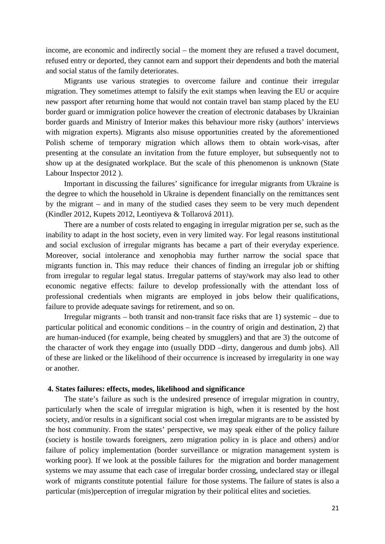income, are economic and indirectly social – the moment they are refused a travel document, refused entry or deported, they cannot earn and support their dependents and both the material and social status of the family deteriorates.

Migrants use various strategies to overcome failure and continue their irregular migration. They sometimes attempt to falsify the exit stamps when leaving the EU or acquire new passport after returning home that would not contain travel ban stamp placed by the EU border guard or immigration police however the creation of electronic databases by Ukrainian border guards and Ministry of Interior makes this behaviour more risky (authors' interviews with migration experts). Migrants also misuse opportunities created by the aforementioned Polish scheme of temporary migration which allows them to obtain work-visas, after presenting at the consulate an invitation from the future employer, but subsequently not to show up at the designated workplace. But the scale of this phenomenon is unknown (State Labour Inspector 2012 ).

Important in discussing the failures' significance for irregular migrants from Ukraine is the degree to which the household in Ukraine is dependent financially on the remittances sent by the migrant – and in many of the studied cases they seem to be very much dependent (Kindler 2012, Kupets 2012, Leontiyeva & Tollarová 2011).

There are a number of costs related to engaging in irregular migration per se, such as the inability to adapt in the host society, even in very limited way. For legal reasons institutional and social exclusion of irregular migrants has became a part of their everyday experience. Moreover, social intolerance and xenophobia may further narrow the social space that migrants function in. This may reduce their chances of finding an irregular job or shifting from irregular to regular legal status. Irregular patterns of stay/work may also lead to other economic negative effects: failure to develop professionally with the attendant loss of professional credentials when migrants are employed in jobs below their qualifications, failure to provide adequate savings for retirement, and so on.

Irregular migrants – both transit and non-transit face risks that are 1) systemic – due to particular political and economic conditions – in the country of origin and destination, 2) that are human-induced (for example, being cheated by smugglers) and that are 3) the outcome of the character of work they engage into (usually DDD –dirty, dangerous and dumb jobs). All of these are linked or the likelihood of their occurrence is increased by irregularity in one way or another.

#### <span id="page-20-0"></span>**4. States failures: effects, modes, likelihood and significance**

The state's failure as such is the undesired presence of irregular migration in country, particularly when the scale of irregular migration is high, when it is resented by the host society, and/or results in a significant social cost when irregular migrants are to be assisted by the host community. From the states' perspective, we may speak either of the policy failure (society is hostile towards foreigners, zero migration policy in is place and others) and/or failure of policy implementation (border surveillance or migration management system is working poor). If we look at the possible failures for the migration and border management systems we may assume that each case of irregular border crossing, undeclared stay or illegal work of migrants constitute potential failure for those systems. The failure of states is also a particular (mis)perception of irregular migration by their political elites and societies.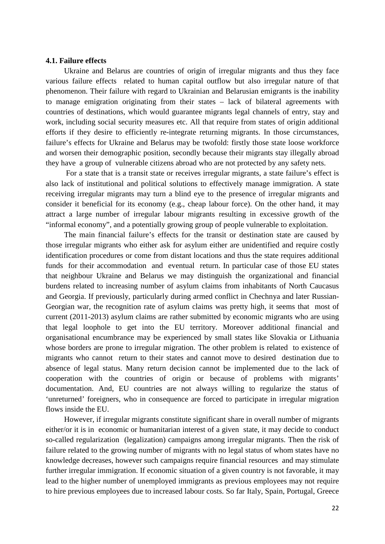#### <span id="page-21-0"></span>**4.1. Failure effects**

Ukraine and Belarus are countries of origin of irregular migrants and thus they face various failure effects related to human capital outflow but also irregular nature of that phenomenon. Their failure with regard to Ukrainian and Belarusian emigrants is the inability to manage emigration originating from their states – lack of bilateral agreements with countries of destinations, which would guarantee migrants legal channels of entry, stay and work, including social security measures etc. All that require from states of origin additional efforts if they desire to efficiently re-integrate returning migrants. In those circumstances, failure's effects for Ukraine and Belarus may be twofold: firstly those state loose workforce and worsen their demographic position, secondly because their migrants stay illegally abroad they have a group of vulnerable citizens abroad who are not protected by any safety nets.

For a state that is a transit state or receives irregular migrants, a state failure's effect is also lack of institutional and political solutions to effectively manage immigration. A state receiving irregular migrants may turn a blind eye to the presence of irregular migrants and consider it beneficial for its economy (e.g., cheap labour force). On the other hand, it may attract a large number of irregular labour migrants resulting in excessive growth of the "informal economy", and a potentially growing group of people vulnerable to exploitation.

The main financial failure's effects for the transit or destination state are caused by those irregular migrants who either ask for asylum either are unidentified and require costly identification procedures or come from distant locations and thus the state requires additional funds for their accommodation and eventual return. In particular case of those EU states that neighbour Ukraine and Belarus we may distinguish the organizational and financial burdens related to increasing number of asylum claims from inhabitants of North Caucasus and Georgia. If previously, particularly during armed conflict in Chechnya and later Russian-Georgian war, the recognition rate of asylum claims was pretty high, it seems that most of current (2011-2013) asylum claims are rather submitted by economic migrants who are using that legal loophole to get into the EU territory. Moreover additional financial and organisational encumbrance may be experienced by small states like Slovakia or Lithuania whose borders are prone to irregular migration. The other problem is related to existence of migrants who cannot return to their states and cannot move to desired destination due to absence of legal status. Many return decision cannot be implemented due to the lack of cooperation with the countries of origin or because of problems with migrants' documentation. And, EU countries are not always willing to regularize the status of 'unreturned' foreigners, who in consequence are forced to participate in irregular migration flows inside the EU.

However, if irregular migrants constitute significant share in overall number of migrants either/or it is in economic or humanitarian interest of a given state, it may decide to conduct so-called regularization (legalization) campaigns among irregular migrants. Then the risk of failure related to the growing number of migrants with no legal status of whom states have no knowledge decreases, however such campaigns require financial resources and may stimulate further irregular immigration. If economic situation of a given country is not favorable, it may lead to the higher number of unemployed immigrants as previous employees may not require to hire previous employees due to increased labour costs. So far Italy, Spain, Portugal, Greece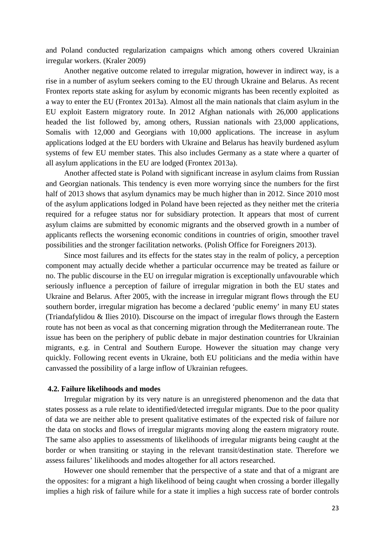and Poland conducted regularization campaigns which among others covered Ukrainian irregular workers. (Kraler 2009)

Another negative outcome related to irregular migration, however in indirect way, is a rise in a number of asylum seekers coming to the EU through Ukraine and Belarus. As recent Frontex reports state asking for asylum by economic migrants has been recently exploited as a way to enter the EU (Frontex 2013a). Almost all the main nationals that claim asylum in the EU exploit Eastern migratory route. In 2012 Afghan nationals with 26,000 applications headed the list followed by, among others, Russian nationals with 23,000 applications, Somalis with 12,000 and Georgians with 10,000 applications. The increase in asylum applications lodged at the EU borders with Ukraine and Belarus has heavily burdened asylum systems of few EU member states. This also includes Germany as a state where a quarter of all asylum applications in the EU are lodged (Frontex 2013a).

Another affected state is Poland with significant increase in asylum claims from Russian and Georgian nationals. This tendency is even more worrying since the numbers for the first half of 2013 shows that asylum dynamics may be much higher than in 2012. Since 2010 most of the asylum applications lodged in Poland have been rejected as they neither met the criteria required for a refugee status nor for subsidiary protection. It appears that most of current asylum claims are submitted by economic migrants and the observed growth in a number of applicants reflects the worsening economic conditions in countries of origin, smoother travel possibilities and the stronger facilitation networks. (Polish Office for Foreigners 2013).

Since most failures and its effects for the states stay in the realm of policy, a perception component may actually decide whether a particular occurrence may be treated as failure or no. The public discourse in the EU on irregular migration is exceptionally unfavourable which seriously influence a perception of failure of irregular migration in both the EU states and Ukraine and Belarus. After 2005, with the increase in irregular migrant flows through the EU southern border, irregular migration has become a declared 'public enemy' in many EU states (Triandafylidou & Ilies 2010). Discourse on the impact of irregular flows through the Eastern route has not been as vocal as that concerning migration through the Mediterranean route. The issue has been on the periphery of public debate in major destination countries for Ukrainian migrants, e.g. in Central and Southern Europe. However the situation may change very quickly. Following recent events in Ukraine, both EU politicians and the media within have canvassed the possibility of a large inflow of Ukrainian refugees.

# <span id="page-22-0"></span>**4.2. Failure likelihoods and modes**

Irregular migration by its very nature is an unregistered phenomenon and the data that states possess as a rule relate to identified/detected irregular migrants. Due to the poor quality of data we are neither able to present qualitative estimates of the expected risk of failure nor the data on stocks and flows of irregular migrants moving along the eastern migratory route. The same also applies to assessments of likelihoods of irregular migrants being caught at the border or when transiting or staying in the relevant transit/destination state. Therefore we assess failures' likelihoods and modes altogether for all actors researched.

However one should remember that the perspective of a state and that of a migrant are the opposites: for a migrant a high likelihood of being caught when crossing a border illegally implies a high risk of failure while for a state it implies a high success rate of border controls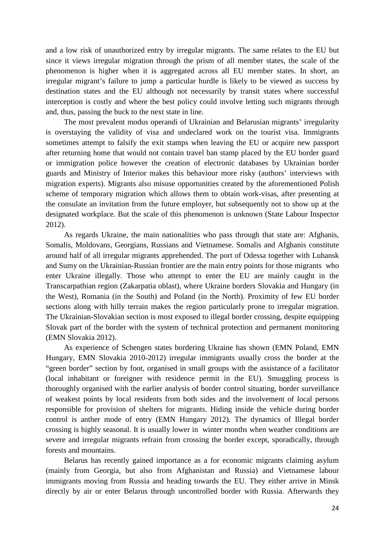and a low risk of unauthorized entry by irregular migrants. The same relates to the EU but since it views irregular migration through the prism of all member states, the scale of the phenomenon is higher when it is aggregated across all EU member states. In short, an irregular migrant's failure to jump a particular hurdle is likely to be viewed as success by destination states and the EU although not necessarily by transit states where successful interception is costly and where the best policy could involve letting such migrants through and, thus, passing the buck to the next state in line.

The most prevalent modus operandi of Ukrainian and Belarusian migrants' irregularity is overstaying the validity of visa and undeclared work on the tourist visa. Immigrants sometimes attempt to falsify the exit stamps when leaving the EU or acquire new passport after returning home that would not contain travel ban stamp placed by the EU border guard or immigration police however the creation of electronic databases by Ukrainian border guards and Ministry of Interior makes this behaviour more risky (authors' interviews with migration experts). Migrants also misuse opportunities created by the aforementioned Polish scheme of temporary migration which allows them to obtain work-visas, after presenting at the consulate an invitation from the future employer, but subsequently not to show up at the designated workplace. But the scale of this phenomenon is unknown (State Labour Inspector 2012).

As regards Ukraine, the main nationalities who pass through that state are: Afghanis, Somalis, Moldovans, Georgians, Russians and Vietnamese. Somalis and Afghanis constitute around half of all irregular migrants apprehended. The port of Odessa together with Luhansk and Sumy on the Ukrainian-Russian frontier are the main entry points for those migrants who enter Ukraine illegally. Those who attempt to enter the EU are mainly caught in the Transcarpathian region (Zakarpatia oblast), where Ukraine borders Slovakia and Hungary (in the West), Romania (in the South) and Poland (in the North). Proximity of few EU border sections along with hilly terrain makes the region particularly prone to irregular migration. The Ukrainian-Slovakian section is most exposed to illegal border crossing, despite equipping Slovak part of the border with the system of technical protection and permanent monitoring (EMN Slovakia 2012).

As experience of Schengen states bordering Ukraine has shown (EMN Poland, EMN Hungary, EMN Slovakia 2010-2012) irregular immigrants usually cross the border at the "green border" section by foot, organised in small groups with the assistance of a facilitator (local inhabitant or foreigner with residence permit in the EU). Smuggling process is thoroughly organised with the earlier analysis of border control situating, border surveillance of weakest points by local residents from both sides and the involvement of local persons responsible for provision of shelters for migrants. Hiding inside the vehicle during border control is anther mode of entry (EMN Hungary 2012). The dynamics of Illegal border crossing is highly seasonal. It is usually lower in winter months when weather conditions are severe and irregular migrants refrain from crossing the border except, sporadically, through forests and mountains.

Belarus has recently gained importance as a for economic migrants claiming asylum (mainly from Georgia, but also from Afghanistan and Russia) and Vietnamese labour immigrants moving from Russia and heading towards the EU. They either arrive in Minsk directly by air or enter Belarus through uncontrolled border with Russia. Afterwards they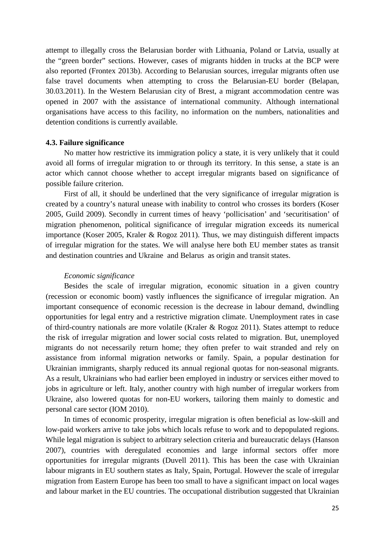attempt to illegally cross the Belarusian border with Lithuania, Poland or Latvia, usually at the "green border" sections. However, cases of migrants hidden in trucks at the BCP were also reported (Frontex 2013b). According to Belarusian sources, irregular migrants often use false travel documents when attempting to cross the Belarusian-EU border (Belapan, 30.03.2011). In the Western Belarusian city of Brest, a migrant accommodation centre was opened in 2007 with the assistance of international community. Although international organisations have access to this facility, no information on the numbers, nationalities and detention conditions is currently available.

#### <span id="page-24-0"></span>**4.3. Failure significance**

No matter how restrictive its immigration policy a state, it is very unlikely that it could avoid all forms of irregular migration to or through its territory. In this sense, a state is an actor which cannot choose whether to accept irregular migrants based on significance of possible failure criterion.

First of all, it should be underlined that the very significance of irregular migration is created by a country's natural unease with inability to control who crosses its borders (Koser 2005, Guild 2009). Secondly in current times of heavy 'pollicisation' and 'securitisation' of migration phenomenon, political significance of irregular migration exceeds its numerical importance (Koser 2005, Kraler & Rogoz 2011). Thus, we may distinguish different impacts of irregular migration for the states. We will analyse here both EU member states as transit and destination countries and Ukraine and Belarus as origin and transit states.

#### *Economic significance*

Besides the scale of irregular migration, economic situation in a given country (recession or economic boom) vastly influences the significance of irregular migration. An important consequence of economic recession is the decrease in labour demand, dwindling opportunities for legal entry and a restrictive migration climate. Unemployment rates in case of third-country nationals are more volatile (Kraler & Rogoz 2011). States attempt to reduce the risk of irregular migration and lower social costs related to migration. But, unemployed migrants do not necessarily return home; they often prefer to wait stranded and rely on assistance from informal migration networks or family. Spain, a popular destination for Ukrainian immigrants, sharply reduced its annual regional quotas for non-seasonal migrants. As a result, Ukrainians who had earlier been employed in industry or services either moved to jobs in agriculture or left. Italy, another country with high number of irregular workers from Ukraine, also lowered quotas for non-EU workers, tailoring them mainly to domestic and personal care sector (IOM 2010).

In times of economic prosperity, irregular migration is often beneficial as low-skill and low-paid workers arrive to take jobs which locals refuse to work and to depopulated regions. While legal migration is subject to arbitrary selection criteria and bureaucratic delays (Hanson 2007), countries with deregulated economies and large informal sectors offer more opportunities for irregular migrants (Duvell 2011). This has been the case with Ukrainian labour migrants in EU southern states as Italy, Spain, Portugal. However the scale of irregular migration from Eastern Europe has been too small to have a significant impact on local wages and labour market in the EU countries. The occupational distribution suggested that Ukrainian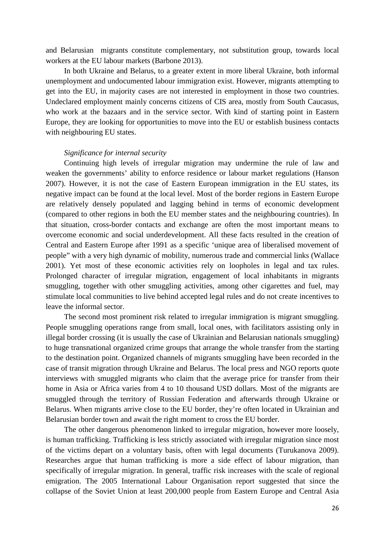and Belarusian migrants constitute complementary, not substitution group, towards local workers at the EU labour markets (Barbone 2013).

In both Ukraine and Belarus, to a greater extent in more liberal Ukraine, both informal unemployment and undocumented labour immigration exist. However, migrants attempting to get into the EU, in majority cases are not interested in employment in those two countries. Undeclared employment mainly concerns citizens of CIS area, mostly from South Caucasus, who work at the bazaars and in the service sector. With kind of starting point in Eastern Europe, they are looking for opportunities to move into the EU or establish business contacts with neighbouring EU states.

#### *Significance for internal security*

Continuing high levels of irregular migration may undermine the rule of law and weaken the governments' ability to enforce residence or labour market regulations (Hanson 2007). However, it is not the case of Eastern European immigration in the EU states, its negative impact can be found at the local level. Most of the border regions in Eastern Europe are relatively densely populated and lagging behind in terms of economic development (compared to other regions in both the EU member states and the neighbouring countries). In that situation, cross-border contacts and exchange are often the most important means to overcome economic and social underdevelopment. All these facts resulted in the creation of Central and Eastern Europe after 1991 as a specific 'unique area of liberalised movement of people" with a very high dynamic of mobility, numerous trade and commercial links (Wallace 2001). Yet most of these economic activities rely on loopholes in legal and tax rules. Prolonged character of irregular migration, engagement of local inhabitants in migrants smuggling, together with other smuggling activities, among other cigarettes and fuel, may stimulate local communities to live behind accepted legal rules and do not create incentives to leave the informal sector.

The second most prominent risk related to irregular immigration is migrant smuggling. People smuggling operations range from small, local ones, with facilitators assisting only in illegal border crossing (it is usually the case of Ukrainian and Belarusian nationals smuggling) to huge transnational organized crime groups that arrange the whole transfer from the starting to the destination point. Organized channels of migrants smuggling have been recorded in the case of transit migration through Ukraine and Belarus. The local press and NGO reports quote interviews with smuggled migrants who claim that the average price for transfer from their home in Asia or Africa varies from 4 to 10 thousand USD dollars. Most of the migrants are smuggled through the territory of Russian Federation and afterwards through Ukraine or Belarus. When migrants arrive close to the EU border, they're often located in Ukrainian and Belarusian border town and await the right moment to cross the EU border.

The other dangerous phenomenon linked to irregular migration, however more loosely, is human trafficking. Trafficking is less strictly associated with irregular migration since most of the victims depart on a voluntary basis, often with legal documents (Turukanova 2009). Researches argue that human trafficking is more a side effect of labour migration, than specifically of irregular migration. In general, traffic risk increases with the scale of regional emigration. The 2005 International Labour Organisation report suggested that since the collapse of the Soviet Union at least 200,000 people from Eastern Europe and Central Asia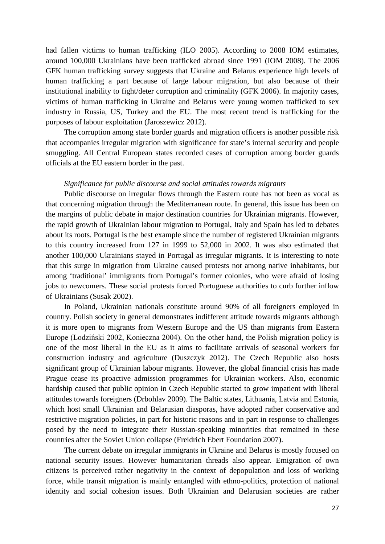had fallen victims to human trafficking (ILO 2005). According to 2008 IOM estimates, around 100,000 Ukrainians have been trafficked abroad since 1991 (IOM 2008). The 2006 GFK human trafficking survey suggests that Ukraine and Belarus experience high levels of human trafficking a part because of large labour migration, but also because of their institutional inability to fight/deter corruption and criminality (GFK 2006). In majority cases, victims of human trafficking in Ukraine and Belarus were young women trafficked to sex industry in Russia, US, Turkey and the EU. The most recent trend is trafficking for the purposes of labour exploitation (Jaroszewicz 2012).

The corruption among state border guards and migration officers is another possible risk that accompanies irregular migration with significance for state's internal security and people smuggling. All Central European states recorded cases of corruption among border guards officials at the EU eastern border in the past.

#### *Significance for public discourse and social attitudes towards migrants*

Public discourse on irregular flows through the Eastern route has not been as vocal as that concerning migration through the Mediterranean route. In general, this issue has been on the margins of public debate in major destination countries for Ukrainian migrants. However, the rapid growth of Ukrainian labour migration to Portugal, Italy and Spain has led to debates about its roots. Portugal is the best example since the number of registered Ukrainian migrants to this country increased from 127 in 1999 to 52,000 in 2002. It was also estimated that another 100,000 Ukrainians stayed in Portugal as irregular migrants. It is interesting to note that this surge in migration from Ukraine caused protests not among native inhabitants, but among 'traditional' immigrants from Portugal's former colonies, who were afraid of losing jobs to newcomers. These social protests forced Portuguese authorities to curb further inflow of Ukrainians (Susak 2002).

In Poland, Ukrainian nationals constitute around 90% of all foreigners employed in country. Polish society in general demonstrates indifferent attitude towards migrants although it is more open to migrants from Western Europe and the US than migrants from Eastern Europe (Lodziński 2002, Konieczna 2004). On the other hand, the Polish migration policy is one of the most liberal in the EU as it aims to facilitate arrivals of seasonal workers for construction industry and agriculture (Duszczyk 2012). The Czech Republic also hosts significant group of Ukrainian labour migrants. However, the global financial crisis has made Prague cease its proactive admission programmes for Ukrainian workers. Also, economic hardship caused that public opinion in Czech Republic started to grow impatient with liberal attitudes towards foreigners (Drbohlav 2009). The Baltic states, Lithuania, Latvia and Estonia, which host small Ukrainian and Belarusian diasporas, have adopted rather conservative and restrictive migration policies, in part for historic reasons and in part in response to challenges posed by the need to integrate their Russian-speaking minorities that remained in these countries after the Soviet Union collapse (Freidrich Ebert Foundation 2007).

The current debate on irregular immigrants in Ukraine and Belarus is mostly focused on national security issues. However humanitarian threads also appear. Emigration of own citizens is perceived rather negativity in the context of depopulation and loss of working force, while transit migration is mainly entangled with ethno-politics, protection of national identity and social cohesion issues. Both Ukrainian and Belarusian societies are rather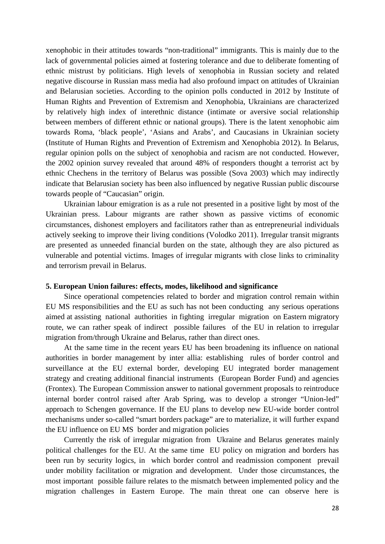xenophobic in their attitudes towards "non-traditional" immigrants. This is mainly due to the lack of governmental policies aimed at fostering tolerance and due to deliberate fomenting of ethnic mistrust by politicians. High levels of xenophobia in Russian society and related negative discourse in Russian mass media had also profound impact on attitudes of Ukrainian and Belarusian societies. According to the opinion polls conducted in 2012 by Institute of Human Rights and Prevention of Extremism and Xenophobia, Ukrainians are characterized by relatively high index of interethnic distance (intimate or aversive social relationship between members of different ethnic or national groups). There is the latent xenophobic aim towards Roma, 'black people', 'Asians and Arabs', and Caucasians in Ukrainian society (Institute of Human Rights and Prevention of Extremism and Xenophobia 2012). In Belarus, regular opinion polls on the subject of xenophobia and racism are not conducted. However, the 2002 opinion survey revealed that around 48% of responders thought a terrorist act by ethnic Chechens in the territory of Belarus was possible (Sova 2003) which may indirectly indicate that Belarusian society has been also influenced by negative Russian public discourse towards people of "Caucasian" origin.

Ukrainian labour emigration is as a rule not presented in a positive light by most of the Ukrainian press. Labour migrants are rather shown as passive victims of economic circumstances, dishonest employers and facilitators rather than as entrepreneurial individuals actively seeking to improve their living conditions (Volodko 2011). Irregular transit migrants are presented as unneeded financial burden on the state, although they are also pictured as vulnerable and potential victims. Images of irregular migrants with close links to criminality and terrorism prevail in Belarus.

#### <span id="page-27-0"></span>**5. European Union failures: effects, modes, likelihood and significance**

Since operational competencies related to border and migration control remain within EU MS responsibilities and the EU as such has not been conducting any serious operations aimed at assisting national authorities in fighting irregular migration on Eastern migratory route, we can rather speak of indirect possible failures of the EU in relation to irregular migration from/through Ukraine and Belarus, rather than direct ones.

At the same time in the recent years EU has been broadening its influence on national authorities in border management by inter allia: establishing rules of border control and surveillance at the EU external border, developing EU integrated border management strategy and creating additional financial instruments (European Border Fund) and agencies (Frontex). The European Commission answer to national government proposals to reintroduce internal border control raised after Arab Spring, was to develop a stronger "Union-led" approach to Schengen governance. If the EU plans to develop new EU-wide border control mechanisms under so-called "smart borders package" are to materialize, it will further expand the EU influence on EU MS border and migration policies

Currently the risk of irregular migration from Ukraine and Belarus generates mainly political challenges for the EU. At the same time EU policy on migration and borders has been run by security logics, in which border control and readmission component prevail under mobility facilitation or migration and development. Under those circumstances, the most important possible failure relates to the mismatch between implemented policy and the migration challenges in Eastern Europe. The main threat one can observe here is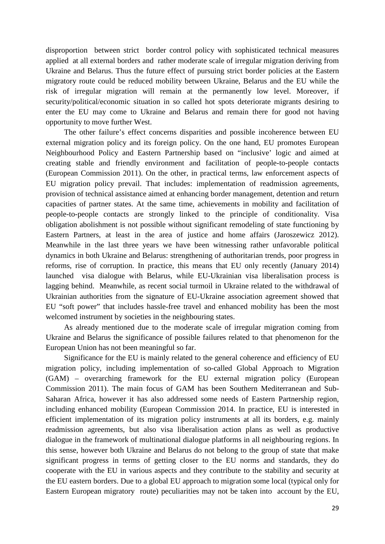disproportion between strict border control policy with sophisticated technical measures applied at all external borders and rather moderate scale of irregular migration deriving from Ukraine and Belarus. Thus the future effect of pursuing strict border policies at the Eastern migratory route could be reduced mobility between Ukraine, Belarus and the EU while the risk of irregular migration will remain at the permanently low level. Moreover, if security/political/economic situation in so called hot spots deteriorate migrants desiring to enter the EU may come to Ukraine and Belarus and remain there for good not having opportunity to move further West.

The other failure's effect concerns disparities and possible incoherence between EU external migration policy and its foreign policy. On the one hand, EU promotes European Neighbourhood Policy and Eastern Partnership based on "inclusive' logic and aimed at creating stable and friendly environment and facilitation of people-to-people contacts (European Commission 2011). On the other, in practical terms, law enforcement aspects of EU migration policy prevail. That includes: implementation of readmission agreements, provision of technical assistance aimed at enhancing border management, detention and return capacities of partner states. At the same time, achievements in mobility and facilitation of people-to-people contacts are strongly linked to the principle of conditionality. Visa obligation abolishment is not possible without significant remodeling of state functioning by Eastern Partners, at least in the area of justice and home affairs (Jaroszewicz 2012). Meanwhile in the last three years we have been witnessing rather unfavorable political dynamics in both Ukraine and Belarus: strengthening of authoritarian trends, poor progress in reforms, rise of corruption. In practice, this means that EU only recently (January 2014) launched visa dialogue with Belarus, while EU-Ukrainian visa liberalisation process is lagging behind. Meanwhile, as recent social turmoil in Ukraine related to the withdrawal of Ukrainian authorities from the signature of EU-Ukraine association agreement showed that EU "soft power" that includes hassle-free travel and enhanced mobility has been the most welcomed instrument by societies in the neighbouring states.

As already mentioned due to the moderate scale of irregular migration coming from Ukraine and Belarus the significance of possible failures related to that phenomenon for the European Union has not been meaningful so far.

Significance for the EU is mainly related to the general coherence and efficiency of EU migration policy, including implementation of so-called Global Approach to Migration (GAM) – overarching framework for the EU external migration policy (European Commission 2011). The main focus of GAM has been Southern Mediterranean and Sub-Saharan Africa, however it has also addressed some needs of Eastern Partnership region, including enhanced mobility (European Commission 2014. In practice, EU is interested in efficient implementation of its migration policy instruments at all its borders, e.g. mainly readmission agreements, but also visa liberalisation action plans as well as productive dialogue in the framework of multinational dialogue platforms in all neighbouring regions. In this sense, however both Ukraine and Belarus do not belong to the group of state that make significant progress in terms of getting closer to the EU norms and standards, they do cooperate with the EU in various aspects and they contribute to the stability and security at the EU eastern borders. Due to a global EU approach to migration some local (typical only for Eastern European migratory route) peculiarities may not be taken into account by the EU,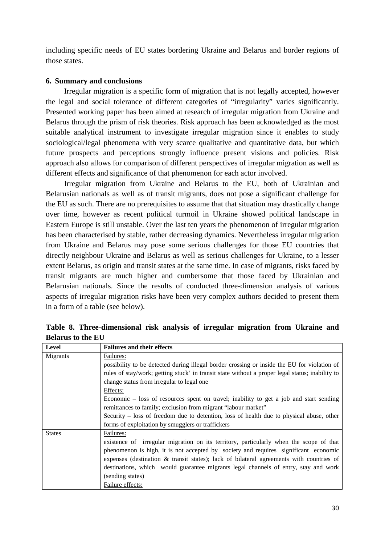including specific needs of EU states bordering Ukraine and Belarus and border regions of those states.

# <span id="page-29-0"></span>**6. Summary and conclusions**

Irregular migration is a specific form of migration that is not legally accepted, however the legal and social tolerance of different categories of "irregularity" varies significantly. Presented working paper has been aimed at research of irregular migration from Ukraine and Belarus through the prism of risk theories. Risk approach has been acknowledged as the most suitable analytical instrument to investigate irregular migration since it enables to study sociological/legal phenomena with very scarce qualitative and quantitative data, but which future prospects and perceptions strongly influence present visions and policies. Risk approach also allows for comparison of different perspectives of irregular migration as well as different effects and significance of that phenomenon for each actor involved.

Irregular migration from Ukraine and Belarus to the EU, both of Ukrainian and Belarusian nationals as well as of transit migrants, does not pose a significant challenge for the EU as such. There are no prerequisites to assume that that situation may drastically change over time, however as recent political turmoil in Ukraine showed political landscape in Eastern Europe is still unstable. Over the last ten years the phenomenon of irregular migration has been characterised by stable, rather decreasing dynamics. Nevertheless irregular migration from Ukraine and Belarus may pose some serious challenges for those EU countries that directly neighbour Ukraine and Belarus as well as serious challenges for Ukraine, to a lesser extent Belarus, as origin and transit states at the same time. In case of migrants, risks faced by transit migrants are much higher and cumbersome that those faced by Ukrainian and Belarusian nationals. Since the results of conducted three-dimension analysis of various aspects of irregular migration risks have been very complex authors decided to present them in a form of a table (see below).

| <b>Level</b>  | <b>Failures and their effects</b>                                                               |
|---------------|-------------------------------------------------------------------------------------------------|
| Migrants      | Failures:                                                                                       |
|               | possibility to be detected during illegal border crossing or inside the EU for violation of     |
|               | rules of stay/work; getting stuck' in transit state without a proper legal status; inability to |
|               | change status from irregular to legal one                                                       |
|               | Effects:                                                                                        |
|               | Economic – loss of resources spent on travel; inability to get a job and start sending          |
|               | remittances to family; exclusion from migrant "labour market"                                   |
|               | Security – loss of freedom due to detention, loss of health due to physical abuse, other        |
|               | forms of exploitation by smugglers or traffickers                                               |
| <b>States</b> | Failures:                                                                                       |
|               | existence of irregular migration on its territory, particularly when the scope of that          |
|               | phenomenon is high, it is not accepted by society and requires significant economic             |
|               | expenses (destination & transit states); lack of bilateral agreements with countries of         |
|               | destinations, which would guarantee migrants legal channels of entry, stay and work             |
|               | (sending states)                                                                                |
|               | Failure effects:                                                                                |

**Table 8. Three-dimensional risk analysis of irregular migration from Ukraine and Belarus to the EU**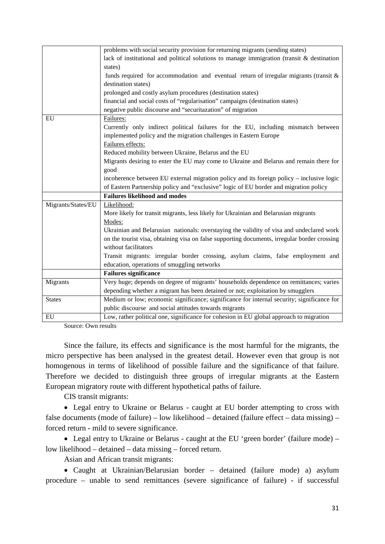|                    | problems with social security provision for returning migrants (sending states)               |
|--------------------|-----------------------------------------------------------------------------------------------|
|                    | lack of institutional and political solutions to manage immigration (transit $\&$ destination |
|                    | states)                                                                                       |
|                    | funds required for accommodation and eventual return of irregular migrants (transit $\&$      |
|                    | destination states)                                                                           |
|                    | prolonged and costly asylum procedures (destination states)                                   |
|                    | financial and social costs of "regularisation" campaigns (destination states)                 |
|                    | negative public discourse and "securitazation" of migration                                   |
| EU                 | Failures:                                                                                     |
|                    | Currently only indirect political failures for the EU, including mismatch between             |
|                    | implemented policy and the migration challenges in Eastern Europe                             |
|                    | Failures effects:                                                                             |
|                    | Reduced mobility between Ukraine, Belarus and the EU                                          |
|                    | Migrants desiring to enter the EU may come to Ukraine and Belarus and remain there for        |
|                    | good                                                                                          |
|                    | incoherence between EU external migration policy and its foreign policy – inclusive logic     |
|                    | of Eastern Partnership policy and "exclusive" logic of EU border and migration policy         |
|                    | <b>Failures likelihood and modes</b>                                                          |
| Migrants/States/EU | Likelihood:                                                                                   |
|                    | More likely for transit migrants, less likely for Ukrainian and Belarusian migrants           |
|                    | Modes:                                                                                        |
|                    | Ukrainian and Belarusian nationals: overstaying the validity of visa and undeclared work      |
|                    | on the tourist visa, obtaining visa on false supporting documents, irregular border crossing  |
|                    | without facilitators                                                                          |
|                    | Transit migrants: irregular border crossing, asylum claims, false employment and              |
|                    | education, operations of smuggling networks                                                   |
|                    | <b>Failures significance</b>                                                                  |
| Migrants           | Very huge; depends on degree of migrants' households dependence on remittances; varies        |
|                    | depending whether a migrant has been detained or not; exploitation by smugglers               |
| <b>States</b>      | Medium or low; economic significance; significance for internal security; significance for    |
|                    | public discourse and social attitudes towards migrants                                        |
| EU                 | Low, rather political one, significance for cohesion in EU global approach to migration       |

Source: Own results

Since the failure, its effects and significance is the most harmful for the migrants, the micro perspective has been analysed in the greatest detail. However even that group is not homogenous in terms of likelihood of possible failure and the significance of that failure. Therefore we decided to distinguish three groups of irregular migrants at the Eastern European migratory route with different hypothetical paths of failure.

CIS transit migrants:

• Legal entry to Ukraine or Belarus - caught at EU border attempting to cross with false documents (mode of failure) – low likelihood – detained (failure effect – data missing) – forced return - mild to severe significance.

• Legal entry to Ukraine or Belarus - caught at the EU 'green border' (failure mode) – low likelihood – detained – data missing – forced return.

Asian and African transit migrants:

• Caught at Ukrainian/Belarusian border – detained (failure mode) a) asylum procedure – unable to send remittances (severe significance of failure) - if successful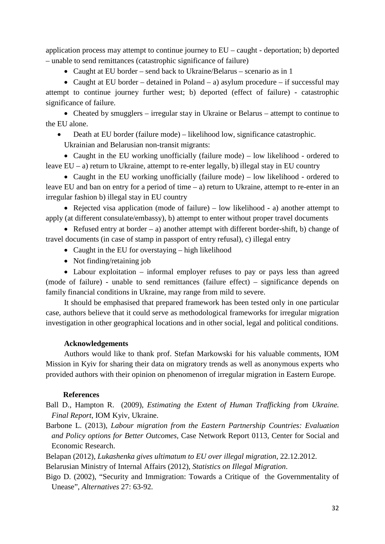application process may attempt to continue journey to EU – caught - deportation; b) deported – unable to send remittances (catastrophic significance of failure)

• Caught at EU border – send back to Ukraine/Belarus – scenario as in 1

• Caught at EU border – detained in Poland – a) asylum procedure – if successful may attempt to continue journey further west; b) deported (effect of failure) - catastrophic significance of failure.

• Cheated by smugglers – irregular stay in Ukraine or Belarus – attempt to continue to the EU alone.

• Death at EU border (failure mode) – likelihood low, significance catastrophic.

Ukrainian and Belarusian non-transit migrants:

• Caught in the EU working unofficially (failure mode) – low likelihood - ordered to leave EU – a) return to Ukraine, attempt to re-enter legally, b) illegal stay in EU country

• Caught in the EU working unofficially (failure mode) – low likelihood - ordered to leave EU and ban on entry for a period of time  $-$  a) return to Ukraine, attempt to re-enter in an irregular fashion b) illegal stay in EU country

• Rejected visa application (mode of failure) – low likelihood - a) another attempt to apply (at different consulate/embassy), b) attempt to enter without proper travel documents

• Refused entry at border – a) another attempt with different border-shift, b) change of travel documents (in case of stamp in passport of entry refusal), c) illegal entry

- Caught in the EU for overstaying high likelihood
- Not finding/retaining job

• Labour exploitation – informal employer refuses to pay or pays less than agreed (mode of failure) - unable to send remittances (failure effect) – significance depends on family financial conditions in Ukraine, may range from mild to severe.

It should be emphasised that prepared framework has been tested only in one particular case, authors believe that it could serve as methodological frameworks for irregular migration investigation in other geographical locations and in other social, legal and political conditions.

# **Acknowledgements**

<span id="page-31-0"></span>Authors would like to thank prof. Stefan Markowski for his valuable comments, IOM Mission in Kyiv for sharing their data on migratory trends as well as anonymous experts who provided authors with their opinion on phenomenon of irregular migration in Eastern Europe.

# **References**

- <span id="page-31-1"></span>Ball D., Hampton R. (2009), *Estimating the Extent of Human Trafficking from Ukraine. Final Report*, IOM Kyiv, Ukraine.
- Barbone L. (2013), *Labour migration from the Eastern Partnership Countries: Evaluation and Policy options for Better Outcomes,* Case Network Report 0113, Center for Social and Economic Research.

Belapan (2012), *Lukashenka gives ultimatum to EU over illegal migration*, 22.12.2012.

Belarusian Ministry of Internal Affairs (2012), *Statistics on Illegal Migration*.

Bigo D. (2002), "Security and Immigration: Towards a Critique of the Governmentality of Unease", *Alternatives* 27: 63-92.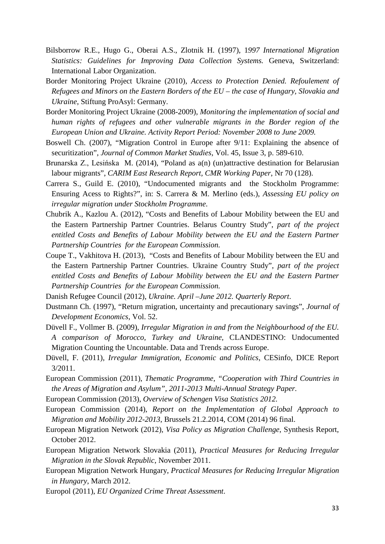- Bilsborrow R.E., Hugo G., Oberai A.S., Zlotnik H. (1997), 1*997 International Migration Statistics: Guidelines for Improving Data Collection Systems.* Geneva, Switzerland: International Labor Organization.
- Border Monitoring Project Ukraine (2010), *Access to Protection Denied. Refoulement of Refugees and Minors on the Eastern Borders of the EU – the case of Hungary, Slovakia and Ukraine*, Stiftung ProAsyl: Germany.
- Border Monitoring Project Ukraine (2008-2009), *Monitoring the implementation of social and human rights of refugees and other vulnerable migrants in the Border region of the European Union and Ukraine. Activity Report Period: November 2008 to June 2009.*
- Boswell Ch. (2007), "Migration Control in Europe after 9/11: Explaining the absence of securitization", *Journal of Common Market Studies*, Vol. 45, Issue 3, p. 589-610.
- Brunarska Z., Lesińska M. (2014), "Poland as a(n) (un)attractive destination for Belarusian labour migrants", *CARIM East Research Report, CMR Working Paper*, Nr 70 (128).
- Carrera S., Guild E. (2010), "Undocumented migrants and the Stockholm Programme: Ensuring Acess to Rights?", in: S. Carrera & M. Merlino (eds.), *Assessing EU policy on irregular migration under Stockholm Programme*.
- Chubrik A., Kazlou A. (2012), "Costs and Benefits of Labour Mobility between the EU and the Eastern Partnership Partner Countries. Belarus Country Study", *part of the project entitled Costs and Benefits of Labour Mobility between the EU and the Eastern Partner Partnership Countries for the European Commission.*
- Coupe T., Vakhitova H. (2013), "Costs and Benefits of Labour Mobility between the EU and the Eastern Partnership Partner Countries. Ukraine Country Study", *part of the project entitled Costs and Benefits of Labour Mobility between the EU and the Eastern Partner Partnership Countries for the European Commission.*
- Danish Refugee Council (2012), *Ukraine. April –June 2012. Quarterly Report*.
- Dustmann Ch. (1997), "Return migration, uncertainty and precautionary savings", *Journal of Development Economics*, Vol. 52.
- Düvell F., Vollmer B. (2009), *Irregular Migration in and from the Neighbourhood of the EU. A comparison of Morocco, Turkey and Ukraine,* CLANDESTINO: Undocumented Migration Counting the Uncountable. Data and Trends across Europe.
- Düvell, F. (2011), *Irregular Immigration, Economic and Politics*, CESinfo, DICE Report 3/2011.
- European Commission (2011), *Thematic Programme, "Cooperation with Third Countries in the Areas of Migration and Asylum", 2011-2013 Multi-Annual Strategy Paper.*
- European Commission (2013), *Overview of Schengen Visa Statistics 2012.*
- European Commission (2014), *Report on the Implementation of Global Approach to Migration and Mobility 2012-2013*, Brussels 21.2.2014, COM (2014) 96 final.
- European Migration Network (2012)*, Visa Policy as Migration Challenge*, Synthesis Report, October 2012.
- European Migration Network Slovakia (2011), *Practical Measures for Reducing Irregular Migration in the Slovak Republic*, November 2011.
- European Migration Network Hungary, *Practical Measures for Reducing Irregular Migration in Hungary*, March 2012.
- Europol (2011), *EU Organized Crime Threat Assessment*.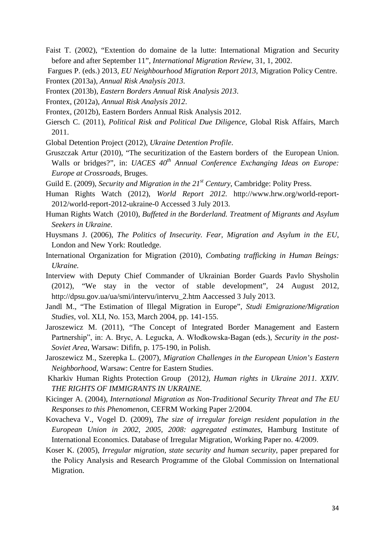- Faist T. (2002), "Extention do domaine de la lutte: International Migration and Security before and after September 11", *International Migration Review*, 31, 1, 2002.
- Fargues P. (eds.) 2013, *EU Neighbourhood Migration Report 2013*, Migration Policy Centre.
- Frontex (2013a), *Annual Risk Analysis 2013*.
- Frontex (2013b), *Eastern Borders Annual Risk Analysis 2013*.
- Frontex, (2012a), *Annual Risk Analysis 2012*.
- Frontex, (2012b), Eastern Borders Annual Risk Analysis 2012.
- Giersch C. (2011), *Political Risk and Political Due Diligence*, Global Risk Affairs, March 2011.
- Global Detention Project (2012), *Ukraine Detention Profile*.
- Gruszczak Artur (2010), "The securitization of the Eastern borders of the European Union. Walls or bridges?", in: *UACES 40th Annual Conference Exchanging Ideas on Europe: Europe at Crossroads*, Bruges.
- Guild E. (2009), *Security and Migration in the 21st Century*, Cambridge: Polity Press.
- Human Rights Watch (2012), *World Report 2012.* http://www.hrw.org/world-report-2012/world-report-2012-ukraine-0 Accessed 3 July 2013.
- Human Rights Watch (2010), *Buffeted in the Borderland. Treatment of Migrants and Asylum Seekers in Ukraine*.
- Huysmans J. (2006), *The Politics of Insecurity. Fear, Migration and Asylum in the EU*, London and New York: Routledge.
- International Organization for Migration (2010), *Combating trafficking in Human Beings: Ukraine.*
- Interview with Deputy Chief Commander of Ukrainian Border Guards Pavlo Shysholin (2012), "We stay in the vector of stable development", 24 August 2012, http://dpsu.gov.ua/ua/smi/intervu/intervu\_2.htm Aaccessed 3 July 2013.
- Jandl M., "The Estimation of Illegal Migration in Europe", *Studi Emigrazione/Migration Studies*, vol. XLI, No. 153, March 2004, pp. 141-155.
- Jaroszewicz M. (2011), "The Concept of Integrated Border Management and Eastern Partnership", in: A. Bryc, A. Legucka, A. Włodkowska-Bagan (eds.), *Security in the post-Soviet Area*, Warsaw: Dififn, p. 175-190, in Polish.
- Jaroszewicz M., Szerepka L. (2007), *Migration Challenges in the European Union's Eastern Neighborhood*, Warsaw: Centre for Eastern Studies.
- Kharkiv Human Rights Protection Group (2012*), Human rights in Ukraine 2011. XXIV. THE RIGHTS OF IMMIGRANTS IN UKRAINE.*
- Kicinger A. (2004), *International Migration as Non-Traditional Security Threat and The EU Responses to this Phenomenon*, CEFRM Working Paper 2/2004.
- Kovacheva V., Vogel D. (2009), *The size of irregular foreign resident population in the European Union in 2002, 2005, 2008: aggregated estimates*, Hamburg Institute of International Economics. Database of Irregular Migration, Working Paper no. 4/2009.
- Koser K. (2005), *Irregular migration, state security and human security*, paper prepared for the Policy Analysis and Research Programme of the Global Commission on International Migration.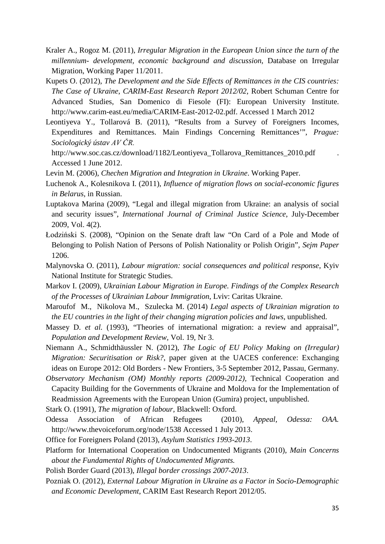- Kraler A., Rogoz M. (2011), *Irregular Migration in the European Union since the turn of the millennium- development, economic background and discussion*, Database on Irregular Migration, Working Paper 11/2011.
- Kupets O. (2012), *The Development and the Side Effects of Remittances in the CIS countries: The Case of Ukraine*, *CARIM-East Research Report 2012/02*, Robert Schuman Centre for Advanced Studies, San Domenico di Fiesole (FI): European University Institute. http://www.carim-east.eu/media/CARIM-East-2012-02.pdf. Accessed 1 March 2012
- Leontiyeva Y., Tollarová B. (2011), "Results from a Survey of Foreigners Incomes, Expenditures and Remittances. Main Findings Concerning Remittances'", *Prague: Sociologický ústav AV ČR.*
- http://www.soc.cas.cz/download/1182/Leontiyeva\_Tollarova\_Remittances\_2010.pdf . Accessed 1 June 2012.
- Levin M. (2006), *Chechen Migration and Integration in Ukraine*. Working Paper.
- Luchenok A., Kolesnikova I. (2011), *Influence of migration flows on social-economic figures in Belarus*, in Russian.
- Luptakova Marina (2009), "Legal and illegal migration from Ukraine: an analysis of social and security issues", *International Journal of Criminal Justice Science*, July-December 2009, Vol. 4(2).
- Łodziński S. (2008), "Opinion on the Senate draft law "On Card of a Pole and Mode of Belonging to Polish Nation of Persons of Polish Nationality or Polish Origin", *Sejm Paper*  1206.
- Malynovska O. (2011), *Labour migration: social consequences and political response*, Kyiv National Institute for Strategic Studies.
- Markov I. (2009), *Ukrainian Labour Migration in Europe. Findings of the Complex Research of the Processes of Ukrainian Labour Immigration*, Lviv: Caritas Ukraine.
- Maroufof M., Nikolova M., Szulecka M. (2014) *Legal aspects of Ukrainian migration to the EU countries in the light of their changing migration policies and laws, unpublished.*
- Massey D. *et al.* (1993), "Theories of international migration: a review and appraisal", *Population and Development Review,* Vol. 19, Nr 3.
- Niemann A., Schmidthäussler N. (2012), *The Logic of EU Policy Making on (Irregular) Migration: Securitisation or Risk?*, paper given at the UACES conference: Exchanging ideas on Europe 2012: Old Borders - New Frontiers, 3-5 September 2012, Passau, Germany.
- *Observatory Mechanism (OM) Monthly reports (2009-2012),* Technical Cooperation and Capacity Building for the Governments of Ukraine and Moldova for the Implementation of Readmission Agreements with the European Union (Gumira) project, unpublished.
- Stark O. (1991), *The migration of labour,* Blackwell: Oxford.
- Odessa Association of African Refugees (2010), *Appeal, Odessa: OAA.* http://www.thevoiceforum.org/node/1538 Accessed 1 July 2013.
- Office for Foreigners Poland (2013), *Asylum Statistics 1993-2013*.
- Platform for International Cooperation on Undocumented Migrants (2010), *Main Concerns about the Fundamental Rights of Undocumented Migrants.*
- Polish Border Guard (2013), *Illegal border crossings 2007-2013*.
- Pozniak O. (2012), *External Labour Migration in Ukraine as a Factor in Socio-Demographic and Economic Development*, CARIM East Research Report 2012/05.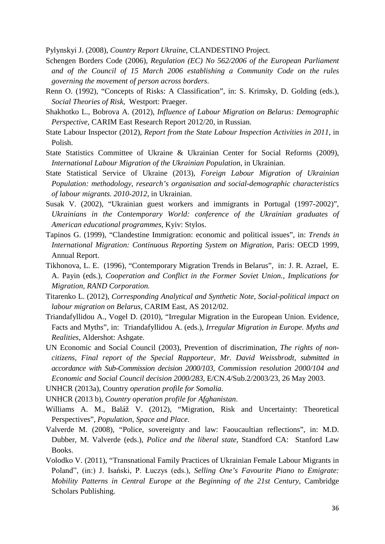Pylynskyi J. (2008), *Country Report Ukraine,* CLANDESTINO Project.

- Schengen Borders Code (2006), *Regulation (EC) No 562/2006 of the European Parliament and of the Council of 15 March 2006 establishing a Community Code on the rules governing the movement of person across borders*.
- Renn O. (1992), "Concepts of Risks: A Classification", in: S. Krimsky, D. Golding (eds.), *Social Theories of Risk*, Westport: Praeger.
- Shakhotko L., Bobrova A. (2012), *Influence of Labour Migration on Belarus: Demographic Perspective,* CARIM East Research Report 2012/20, in Russian.
- State Labour Inspector (2012), *Report from the State Labour Inspection Activities in 2011*, in Polish.
- State Statistics Committee of Ukraine & Ukrainian Center for Social Reforms (2009), *International Labour Migration of the Ukrainian Population*, in Ukrainian.
- State Statistical Service of Ukraine (2013), *Foreign Labour Migration of Ukrainian Population: methodology, research's organisation and social-demographic characteristics of labour migrants. 2010-2012*, in Ukrainian.
- Susak V. (2002), "Ukrainian guest workers and immigrants in Portugal (1997-2002)", *Ukrainians in the Contemporary World: conference of the Ukrainian graduates of American educational programmes,* Kyiv: Stylos.
- Tapinos G. (1999), "Clandestine Immigration: economic and political issues", in: *Trends in International Migration: Continuous Reporting System on Migration*, Paris: OECD 1999, Annual Report.
- Tikhonova, L. E. (1996), "Contemporary Migration Trends in Belarus", in: J. R. Azrael, E. A. Payin (eds.), *Cooperation and Conflict in the Former Soviet Union., Implications for Migration, RAND Corporation.*
- Titarenko L. (2012), *Corresponding Analytical and Synthetic Note, Social-political impact on labour migration on Belarus*, CARIM East, AS 2012/02.
- Triandafyllidou A., Vogel D. (2010), "Irregular Migration in the European Union. Evidence, Facts and Myths", in: Triandafyllidou A. (eds.), *Irregular Migration in Europe. Myths and Realities*, Aldershot: Ashgate.
- UN Economic and Social Council (2003), Prevention of discrimination*, The rights of noncitizens, Final report of the Special Rapporteur, Mr. David Weissbrodt, submitted in accordance with Sub-Commission decision 2000/103, Commission resolution 2000/104 and Economic and Social Council decision 2000/283*, E/CN.4/Sub.2/2003/23, 26 May 2003.
- UNHCR (2013a), Country *operation profile for Somalia*.
- UNHCR (2013 b), *Country operation profile for Afghanistan*.
- Williams A. M., Baláž V. (2012), "Migration, Risk and Uncertainty: Theoretical Perspectives", *Population, Space and Place*.
- Valverde M. (2008), "Police, sovereignty and law: Faoucaultian reflections", in: M.D. Dubber, M. Valverde (eds.), *Police and the liberal state*, Standford CA: Stanford Law Books.
- Volodko V. (2011), "Transnational Family Practices of Ukrainian Female Labour Migrants in Poland", (in:) J. Isański, P. Łuczys (eds.)*, Selling One's Favourite Piano to Emigrate: Mobility Patterns in Central Europe at the Beginning of the 21st Century*, Cambridge Scholars Publishing.